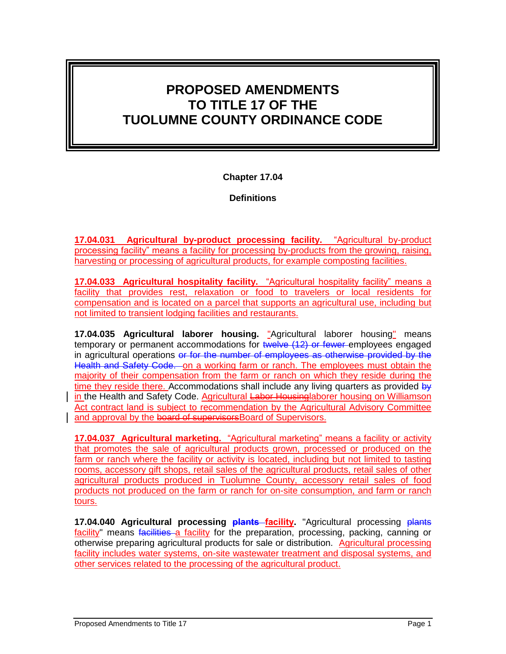# **PROPOSED AMENDMENTS TO TITLE 17 OF THE TUOLUMNE COUNTY ORDINANCE CODE**

**Chapter 17.04**

**Definitions**

**17.04.031 Agricultural by-product processing facility.** "Agricultural by-product processing facility" means a facility for processing by-products from the growing, raising, harvesting or processing of agricultural products, for example composting facilities.

**17.04.033 Agricultural hospitality facility.** "Agricultural hospitality facility" means a facility that provides rest, relaxation or food to travelers or local residents for compensation and is located on a parcel that supports an agricultural use, including but not limited to transient lodging facilities and restaurants.

**17.04.035 Agricultural laborer housing.** "Agricultural laborer housing" means temporary or permanent accommodations for twelve (12) or fewer employees engaged in agricultural operations or for the number of employees as otherwise provided by the Health and Safety Code. on a working farm or ranch. The employees must obtain the majority of their compensation from the farm or ranch on which they reside during the time they reside there. Accommodations shall include any living quarters as provided  $b\psi$ in the Health and Safety Code. Agricultural Labor Housinglaborer housing on Williamson Act contract land is subject to recommendation by the Agricultural Advisory Committee and approval by the board of supervisorsBoard of Supervisors.

**17.04.037 Agricultural marketing.** "Agricultural marketing" means a facility or activity that promotes the sale of agricultural products grown, processed or produced on the farm or ranch where the facility or activity is located, including but not limited to tasting rooms, accessory gift shops, retail sales of the agricultural products, retail sales of other agricultural products produced in Tuolumne County, accessory retail sales of food products not produced on the farm or ranch for on-site consumption, and farm or ranch tours.

17.04.040 Agricultural processing **plants facility**. "Agricultural processing plants facility" means facilities a facility for the preparation, processing, packing, canning or otherwise preparing agricultural products for sale or distribution. Agricultural processing facility includes water systems, on-site wastewater treatment and disposal systems, and other services related to the processing of the agricultural product.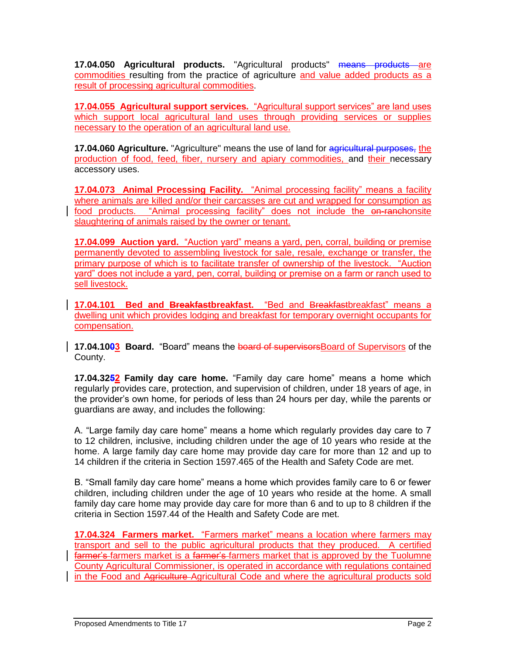**17.04.050 Agricultural products.** "Agricultural products" **means products** are commodities resulting from the practice of agriculture and value added products as a result of processing agricultural commodities.

**17.04.055 Agricultural support services.** "Agricultural support services" are land uses which support local agricultural land uses through providing services or supplies necessary to the operation of an agricultural land use.

**17.04.060 Agriculture.** "Agriculture" means the use of land for agricultural purposes, the production of food, feed, fiber, nursery and apiary commodities, and their necessary accessory uses.

**17.04.073 Animal Processing Facility.** "Animal processing facility" means a facility where animals are killed and/or their carcasses are cut and wrapped for consumption as food products. "Animal processing facility" does not include the on-ranchonsite slaughtering of animals raised by the owner or tenant.

**17.04.099 Auction yard.** "Auction yard" means a yard, pen, corral, building or premise permanently devoted to assembling livestock for sale, resale, exchange or transfer, the primary purpose of which is to facilitate transfer of ownership of the livestock. "Auction yard" does not include a yard, pen, corral, building or premise on a farm or ranch used to sell livestock.

**17.04.101 Bed and Breakfastbreakfast.** "Bed and Breakfastbreakfast" means a dwelling unit which provides lodging and breakfast for temporary overnight occupants for compensation.

**17.04.1003** Board. "Board" means the board of supervisorsBoard of Supervisors of the County.

**17.04.3252 Family day care home.** "Family day care home" means a home which regularly provides care, protection, and supervision of children, under 18 years of age, in the provider's own home, for periods of less than 24 hours per day, while the parents or guardians are away, and includes the following:

A. "Large family day care home" means a home which regularly provides day care to 7 to 12 children, inclusive, including children under the age of 10 years who reside at the home. A large family day care home may provide day care for more than 12 and up to 14 children if the criteria in Section 1597.465 of the Health and Safety Code are met.

B. "Small family day care home" means a home which provides family care to 6 or fewer children, including children under the age of 10 years who reside at the home. A small family day care home may provide day care for more than 6 and to up to 8 children if the criteria in Section 1597.44 of the Health and Safety Code are met.

**17.04.324 Farmers market.** "Farmers market" means a location where farmers may transport and sell to the public agricultural products that they produced. A certified farmer's farmers market is a farmer's farmers market that is approved by the Tuolumne County Agricultural Commissioner, is operated in accordance with regulations contained in the Food and Agriculture Agricultural Code and where the agricultural products sold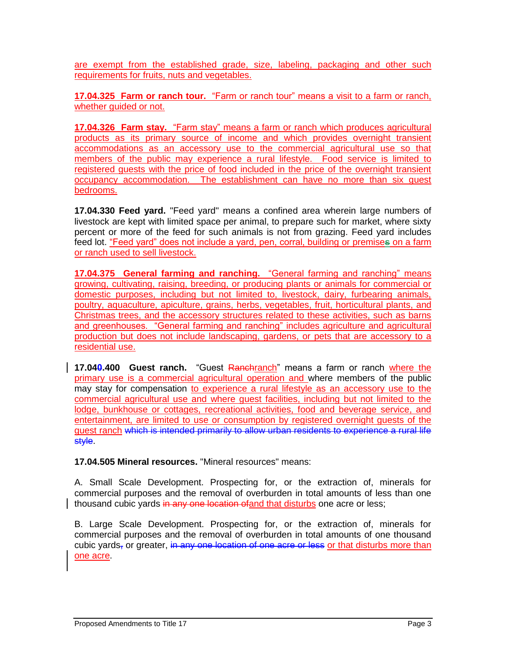are exempt from the established grade, size, labeling, packaging and other such requirements for fruits, nuts and vegetables.

**17.04.325 Farm or ranch tour.** "Farm or ranch tour" means a visit to a farm or ranch, whether guided or not.

**17.04.326 Farm stay.** "Farm stay" means a farm or ranch which produces agricultural products as its primary source of income and which provides overnight transient accommodations as an accessory use to the commercial agricultural use so that members of the public may experience a rural lifestyle. Food service is limited to registered guests with the price of food included in the price of the overnight transient occupancy accommodation. The establishment can have no more than six guest bedrooms.

**17.04.330 Feed yard.** "Feed yard" means a confined area wherein large numbers of livestock are kept with limited space per animal, to prepare such for market, where sixty percent or more of the feed for such animals is not from grazing. Feed yard includes feed lot. "Feed yard" does not include a yard, pen, corral, building or premise**s** on a farm or ranch used to sell livestock.

**17.04.375 General farming and ranching.** "General farming and ranching" means growing, cultivating, raising, breeding, or producing plants or animals for commercial or domestic purposes, including but not limited to, livestock, dairy, furbearing animals, poultry, aquaculture, apiculture, grains, herbs, vegetables, fruit, horticultural plants, and Christmas trees, and the accessory structures related to these activities, such as barns and greenhouses. "General farming and ranching" includes agriculture and agricultural production but does not include landscaping, gardens, or pets that are accessory to a residential use.

**17.040.400 Guest ranch.** "Guest Ranchranch" means a farm or ranch where the primary use is a commercial agricultural operation and where members of the public may stay for compensation to experience a rural lifestyle as an accessory use to the commercial agricultural use and where guest facilities, including but not limited to the lodge, bunkhouse or cottages, recreational activities, food and beverage service, and entertainment, are limited to use or consumption by registered overnight guests of the guest ranch which is intended primarily to allow urban residents to experience a rural life style.

**17.04.505 Mineral resources.** "Mineral resources" means:

A. Small Scale Development. Prospecting for, or the extraction of, minerals for commercial purposes and the removal of overburden in total amounts of less than one thousand cubic yards in any one location ofand that disturbs one acre or less;

B. Large Scale Development. Prospecting for, or the extraction of, minerals for commercial purposes and the removal of overburden in total amounts of one thousand cubic yards, or greater, in any one location of one acre or less or that disturbs more than one acre.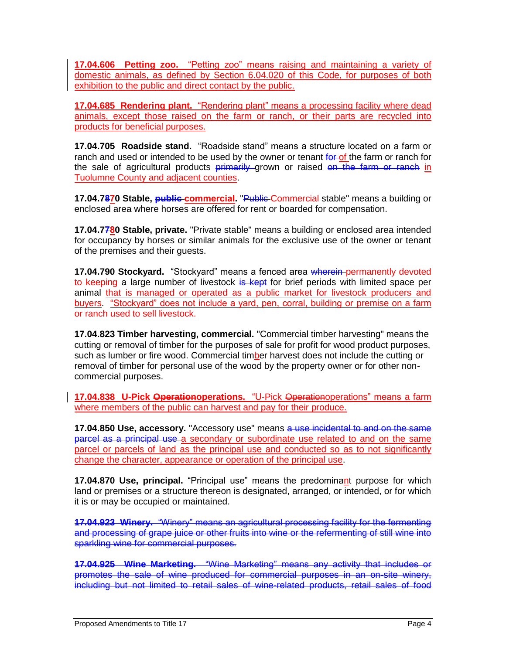**17.04.606 Petting zoo.** "Petting zoo" means raising and maintaining a variety of domestic animals, as defined by Section 6.04.020 of this Code, for purposes of both exhibition to the public and direct contact by the public.

**17.04.685 Rendering plant.** "Rendering plant" means a processing facility where dead animals, except those raised on the farm or ranch, or their parts are recycled into products for beneficial purposes.

**17.04.705 Roadside stand.** "Roadside stand" means a structure located on a farm or ranch and used or intended to be used by the owner or tenant for of the farm or ranch for the sale of agricultural products primarily grown or raised on the farm or ranch in Tuolumne County and adjacent counties.

**17.04.7870 Stable, public commercial.** "Public Commercial stable" means a building or enclosed area where horses are offered for rent or boarded for compensation.

**17.04.7780 Stable, private.** "Private stable" means a building or enclosed area intended for occupancy by horses or similar animals for the exclusive use of the owner or tenant of the premises and their guests.

**17.04.790 Stockyard.** "Stockyard" means a fenced area wherein permanently devoted to keeping a large number of livestock is kept for brief periods with limited space per animal that is managed or operated as a public market for livestock producers and buyers. "Stockyard" does not include a yard, pen, corral, building or premise on a farm or ranch used to sell livestock.

**17.04.823 Timber harvesting, commercial.** "Commercial timber harvesting" means the cutting or removal of timber for the purposes of sale for profit for wood product purposes, such as lumber or fire wood. Commercial timber harvest does not include the cutting or removal of timber for personal use of the wood by the property owner or for other noncommercial purposes.

**17.04.838 U-Pick Operationoperations.** "U-Pick Operationoperations" means a farm where members of the public can harvest and pay for their produce.

**17.04.850 Use, accessory.** "Accessory use" means a use incidental to and on the same parcel as a principal use a secondary or subordinate use related to and on the same parcel or parcels of land as the principal use and conducted so as to not significantly change the character, appearance or operation of the principal use.

**17.04.870 Use, principal.** "Principal use" means the predominant purpose for which land or premises or a structure thereon is designated, arranged, or intended, or for which it is or may be occupied or maintained.

**17.04.923 Winery.** "Winery" means an agricultural processing facility for the fermenting and processing of grape juice or other fruits into wine or the refermenting of still wine into sparkling wine for commercial purposes.

**17.04.925 Wine Marketing.** "Wine Marketing" means any activity that includes or promotes the sale of wine produced for commercial purposes in an on-site winery, including but not limited to retail sales of wine-related products, retail sales of food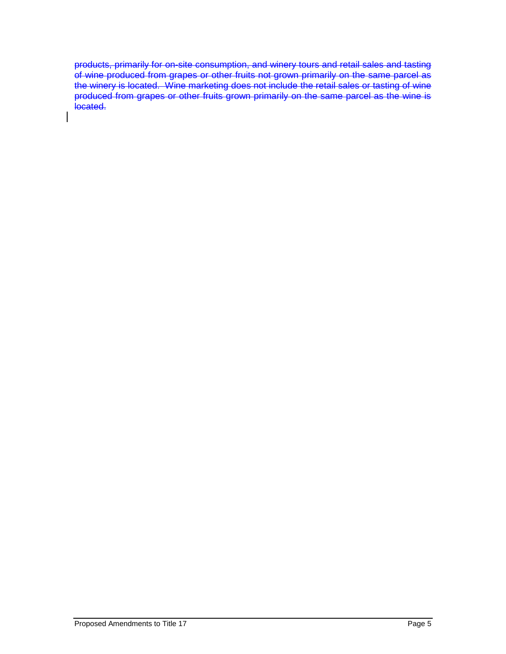products, primarily for on-site consumption, and winery tours and retail sales and tasting of wine produced from grapes or other fruits not grown primarily on the same parcel as the winery is located. Wine marketing does not include the retail sales or tasting of wine produced from grapes or other fruits grown primarily on the same parcel as the wine is located.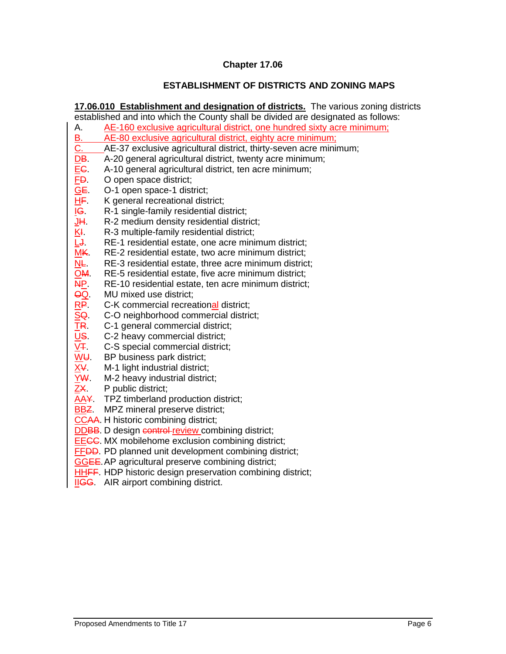# **ESTABLISHMENT OF DISTRICTS AND ZONING MAPS**

**17.06.010 Establishment and designation of districts.** The various zoning districts

established and into which the County shall be divided are designated as follows: A. AE-160 exclusive agricultural district, one hundred sixty acre minimum; B. AE-80 exclusive agricultural district, eighty acre minimum; C. AE-37 exclusive agricultural district, thirty-seven acre minimum; DB. A-20 general agricultural district, twenty acre minimum; EC. A-10 general agricultural district, ten acre minimum; FD. O open space district; GE. O-1 open space-1 district; HF. K general recreational district; IG. R-1 single-family residential district;  $JH.$  R-2 medium density residential district; KI. R-3 multiple-family residential district; LJ. RE-1 residential estate, one acre minimum district;<br>MK. RE-2 residential estate, two acre minimum district; RE-2 residential estate, two acre minimum district; NL. RE-3 residential estate, three acre minimum district; OM. RE-5 residential estate, five acre minimum district; NP. RE-10 residential estate, ten acre minimum district; QQ. MU mixed use district; RP. C-K commercial recreational district; SQ. C-O neighborhood commercial district;<br>TR. C-1 general commercial district; TR. C-1 general commercial district;<br>US. C-2 heavy commercial district; C-2 heavy commercial district; V<sub>T</sub>. C-S special commercial district; WU. BP business park district:  $X\overline{Y}$ . M-1 light industrial district; YW. M-2 heavy industrial district; ZX. P public district; AAY. TPZ timberland production district; **BBZ**. MPZ mineral preserve district; CCAA. H historic combining district; DDBB. D design control review combining district; EECC. MX mobilehome exclusion combining district; FFDD. PD planned unit development combining district; GGEE.AP agricultural preserve combining district; HHFF. HDP historic design preservation combining district; **IIGG.** AIR airport combining district.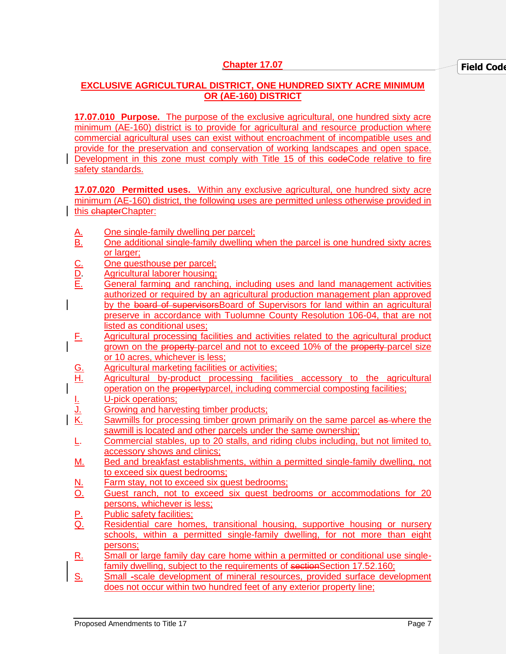# **EXCLUSIVE AGRICULTURAL DISTRICT, ONE HUNDRED SIXTY ACRE MINIMUM OR (AE-160) DISTRICT**

**17.07.010 Purpose.** The purpose of the exclusive agricultural, one hundred sixty acre minimum (AE-160) district is to provide for agricultural and resource production where commercial agricultural uses can exist without encroachment of incompatible uses and provide for the preservation and conservation of working landscapes and open space. Development in this zone must comply with Title 15 of this eodeCode relative to fire safety standards.

**17.07.020 Permitted uses.** Within any exclusive agricultural, one hundred sixty acre minimum (AE-160) district, the following uses are permitted unless otherwise provided in this chapterChapter:

- A. One single-family dwelling per parcel;<br>B. One additional single-family dwelling
- One additional single-family dwelling when the parcel is one hundred sixty acres or larger;
- 
- C. One guesthouse per parcel;<br>
<u>D.</u> Agricultural laborer housing;<br>
E. General farming and ranchi Agricultural laborer housing:
- General farming and ranching, including uses and land management activities authorized or required by an agricultural production management plan approved by the board of supervisors Board of Supervisors for land within an agricultural preserve in accordance with Tuolumne County Resolution 106-04, that are not listed as conditional uses;
- F. Agricultural processing facilities and activities related to the agricultural product grown on the property parcel and not to exceed 10% of the property parcel size or 10 acres, whichever is less;
- G. Agricultural marketing facilities or activities;
- H. Agricultural by-product processing facilities accessory to the agricultural operation on the propertyparcel, including commercial composting facilities;
- <u>I.</u> U-pick operations;<br><u>U.</u> Growing and harve<br><u>K.</u> Sawmills for proce Growing and harvesting timber products;
- Sawmills for processing timber grown primarily on the same parcel as where the sawmill is located and other parcels under the same ownership;
- L. Commercial stables, up to 20 stalls, and riding clubs including, but not limited to, accessory shows and clinics;
- M. Bed and breakfast establishments, within a permitted single-family dwelling, not to exceed six guest bedrooms;
- N. Farm stay, not to exceed six guest bedrooms;
- O. Guest ranch, not to exceed six guest bedrooms or accommodations for 20 persons, whichever is less;
- P. Public safety facilities;<br>Q. Residential care hom
- Residential care homes, transitional housing, supportive housing or nursery schools, within a permitted single-family dwelling, for not more than eight persons;
- R. Small or large family day care home within a permitted or conditional use singlefamily dwelling, subject to the requirements of sectionSection 17.52.160;
- S. Small -scale development of mineral resources, provided surface development does not occur within two hundred feet of any exterior property line;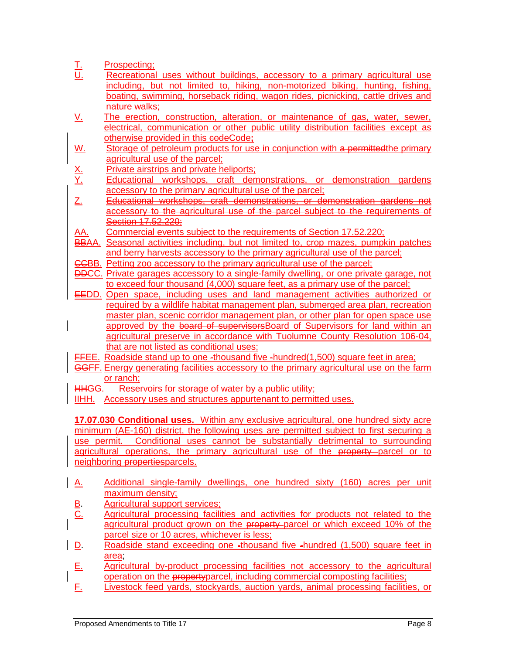|                        | Prospecting;                                                                                                 |
|------------------------|--------------------------------------------------------------------------------------------------------------|
| $\frac{L}{U}$          | Recreational uses without buildings, accessory to a primary agricultural use                                 |
|                        | including, but not limited to, hiking, non-motorized biking, hunting, fishing,                               |
|                        | boating, swimming, horseback riding, wagon rides, picnicking, cattle drives and                              |
|                        | nature walks;                                                                                                |
| <u>V.</u>              | The erection, construction, alteration, or maintenance of gas, water, sewer,                                 |
|                        | electrical, communication or other public utility distribution facilities except as                          |
|                        | otherwise provided in this eodeCode;                                                                         |
| <u>W.</u>              | Storage of petroleum products for use in conjunction with a permittedthe primary                             |
|                        | agricultural use of the parcel;                                                                              |
|                        | Private airstrips and private heliports;                                                                     |
| <u>X.</u><br><u>Y.</u> | Educational workshops, craft demonstrations, or demonstration gardens                                        |
|                        | accessory to the primary agricultural use of the parcel;                                                     |
| Z.                     | Educational workshops, craft demonstrations, or demonstration gardens not                                    |
|                        | accessory to the agricultural use of the parcel subject to the requirements of                               |
|                        | Section 17.52.220;                                                                                           |
| AA.                    | Commercial events subject to the requirements of Section 17.52.220;                                          |
|                        | BBAA. Seasonal activities including, but not limited to, crop mazes, pumpkin patches                         |
|                        | and berry harvests accessory to the primary agricultural use of the parcel;                                  |
|                        | <b>CCBB.</b> Petting zoo accessory to the primary agricultural use of the parcel;                            |
|                        | <b>DDCC.</b> Private garages accessory to a single-family dwelling, or one private garage, not               |
|                        | to exceed four thousand (4,000) square feet, as a primary use of the parcel;                                 |
|                        | <b>EEDD.</b> Open space, including uses and land management activities authorized or                         |
|                        | required by a wildlife habitat management plan, submerged area plan, recreation                              |
|                        | master plan, scenic corridor management plan, or other plan for open space use                               |
|                        | approved by the board of supervisors Board of Supervisors for land within an                                 |
|                        | agricultural preserve in accordance with Tuolumne County Resolution 106-04,                                  |
|                        | that are not listed as conditional uses;                                                                     |
|                        | <b>FFEE.</b> Roadside stand up to one -thousand five -hundred(1,500) square feet in area;                    |
|                        | <b>GGFF.</b> Energy generating facilities accessory to the primary agricultural use on the farm<br>or ranch; |
| HĦGG.                  | Reservoirs for storage of water by a public utility;                                                         |
| HHH.                   | Accessory uses and structures appurtenant to permitted uses.                                                 |
|                        |                                                                                                              |
|                        | 17.07.030 Conditional uses. Within any exclusive agricultural, one hundred sixty acre                        |
|                        | minimum (AE-160) district, the following uses are permitted subject to first securing a                      |
|                        | use permit. Conditional uses cannot be substantially detrimental to surrounding                              |
|                        | agricultural operations, the primary agricultural use of the property parcel or to                           |
|                        | neighboring propertiesparcels.                                                                               |
|                        |                                                                                                              |
| <u>A.</u>              | Additional single-family dwellings, one hundred sixty (160) acres per unit                                   |
|                        | maximum density;                                                                                             |
|                        | Agricultural support services;                                                                               |
| $rac{B}{C}$            | Agricultural processing facilities and activities for products not related to the                            |
|                        | agricultural product grown on the property-parcel or which exceed 10% of the                                 |
|                        | parcel size or 10 acres, whichever is less;                                                                  |
| $\overline{D}$         | Roadside stand exceeding one -thousand five -hundred (1,500) square feet in                                  |
|                        |                                                                                                              |

area; E. Agricultural by-product processing facilities not accessory to the agricultural operation on the propertyparcel, including commercial composting facilities;

F. Livestock feed yards, stockyards, auction yards, animal processing facilities, or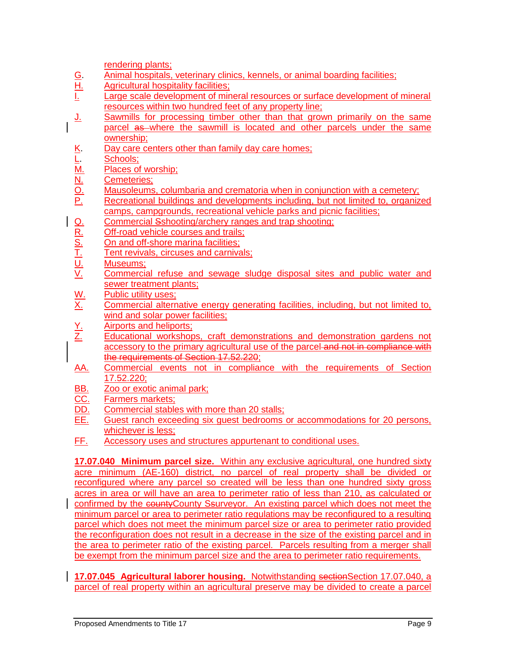rendering plants;

- G. Animal hospitals, veterinary clinics, kennels, or animal boarding facilities;<br>H. Agricultural hospitality facilities;
- H. Agricultural hospitality facilities;<br>I. Large scale development of min
- Large scale development of mineral resources or surface development of mineral resources within two hundred feet of any property line;
- J. Sawmills for processing timber other than that grown primarily on the same parcel as where the sawmill is located and other parcels under the same ownership;
- 
- Schools;
- Places of worship:
- Cemeteries;
- Mausoleums, columbaria and crematoria when in conjunction with a cemetery;
- X. Day care centers other than family day care homes;<br>
<u>L. Schools;</u><br>
<u>M. Places of worship;</u><br>
<u>N. Cemeteries;</u><br>
<u>O. Mausoleums, columbaria and crematoria when in co<br>
P. Recreational buildings and developments including.</u> Recreational buildings and developments including, but not limited to, organized camps, campgrounds, recreational vehicle parks and picnic facilities;
- 
- Off-road vehicle courses and trails;
- On and off-shore marina facilities;
- Tent revivals, circuses and carnivals;
- Museums:
- 9. Commercial Sshooting/archery ranges and trap shooting;<br>
<u>R. Off-road vehicle courses and trails;<br>
S. On and off-shore marina facilities;<br>
T. Tent revivals, circuses and carnivals;<br>
U. Museums;<br>
Commercial refuse and sew</u> Commercial refuse and sewage sludge disposal sites and public water and sewer treatment plants;
- W. Public utility uses:<br>X. Commercial altern
- Commercial alternative energy generating facilities, including, but not limited to, wind and solar power facilities;
- Y. Airports and heliports;<br>Z. Educational workshop
- Educational workshops, craft demonstrations and demonstration gardens not accessory to the primary agricultural use of the parcel and not in compliance with the requirements of Section 17.52.220;
- AA. Commercial events not in compliance with the requirements of Section 17.52.220;
- BB. Zoo or exotic animal park;<br>CC. Farmers markets:
- Farmers markets;
- DD. Commercial stables with more than 20 stalls;
- EE. Guest ranch exceeding six guest bedrooms or accommodations for 20 persons, whichever is less;
- FF. Accessory uses and structures appurtenant to conditional uses.

**17.07.040 Minimum parcel size.** Within any exclusive agricultural, one hundred sixty acre minimum (AE-160) district, no parcel of real property shall be divided or reconfigured where any parcel so created will be less than one hundred sixty gross acres in area or will have an area to perimeter ratio of less than 210, as calculated or confirmed by the countyCounty Ssurveyor. An existing parcel which does not meet the minimum parcel or area to perimeter ratio regulations may be reconfigured to a resulting parcel which does not meet the minimum parcel size or area to perimeter ratio provided the reconfiguration does not result in a decrease in the size of the existing parcel and in the area to perimeter ratio of the existing parcel. Parcels resulting from a merger shall be exempt from the minimum parcel size and the area to perimeter ratio requirements.

**17.07.045 Agricultural laborer housing.** Notwithstanding sectionSection 17.07.040, a parcel of real property within an agricultural preserve may be divided to create a parcel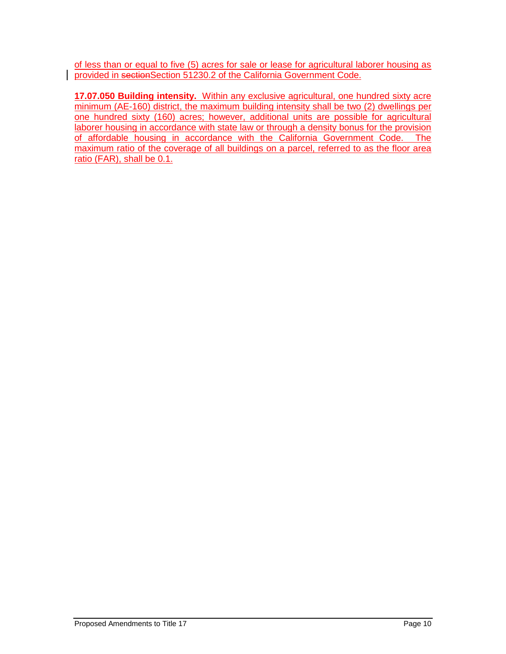of less than or equal to five (5) acres for sale or lease for agricultural laborer housing as provided in sectionSection 51230.2 of the California Government Code.

**17.07.050 Building intensity.** Within any exclusive agricultural, one hundred sixty acre minimum (AE-160) district, the maximum building intensity shall be two (2) dwellings per one hundred sixty (160) acres; however, additional units are possible for agricultural laborer housing in accordance with state law or through a density bonus for the provision of affordable housing in accordance with the California Government Code. The maximum ratio of the coverage of all buildings on a parcel, referred to as the floor area ratio (FAR), shall be 0.1.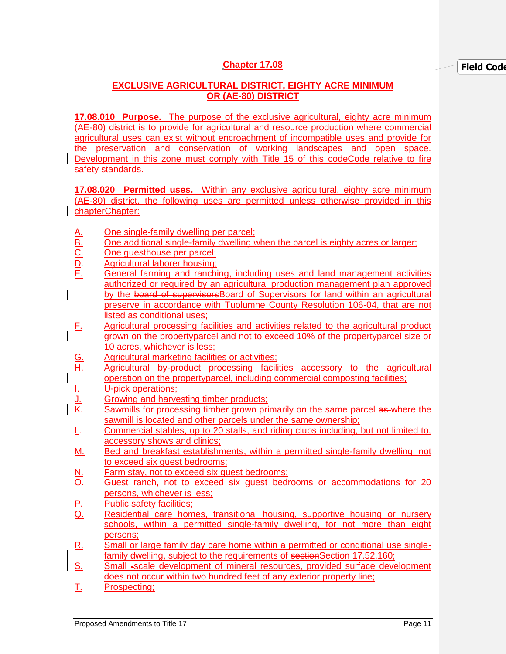# **EXCLUSIVE AGRICULTURAL DISTRICT, EIGHTY ACRE MINIMUM OR (AE-80) DISTRICT**

**17.08.010 Purpose.** The purpose of the exclusive agricultural, eighty acre minimum (AE-80) district is to provide for agricultural and resource production where commercial agricultural uses can exist without encroachment of incompatible uses and provide for the preservation and conservation of working landscapes and open space. Development in this zone must comply with Title 15 of this eodeCode relative to fire safety standards.

**17.08.020 Permitted uses.** Within any exclusive agricultural, eighty acre minimum (AE-80) district, the following uses are permitted unless otherwise provided in this chapterChapter:

- 
- <u>A. One single-family dwelling per parcel;<br>
B. One additional single-family dwelling v<br>
C. One guesthouse per parcel;<br>
D. Agricultural laborer housing;<br>
E. General farming and ranching, include</u> One additional single-family dwelling when the parcel is eighty acres or larger;
- One questhouse per parcel;
- Agricultural laborer housing;
- General farming and ranching, including uses and land management activities authorized or required by an agricultural production management plan approved by the board of supervisors Board of Supervisors for land within an agricultural preserve in accordance with Tuolumne County Resolution 106-04, that are not listed as conditional uses;
- F. Agricultural processing facilities and activities related to the agricultural product grown on the property parcel and not to exceed 10% of the property parcel size or 10 acres, whichever is less;
- G. Agricultural marketing facilities or activities;
- H. Agricultural by-product processing facilities accessory to the agricultural operation on the propertyparcel, including commercial composting facilities;
- **I.** U-pick operations;
- J. Growing and harvesting timber products;<br>K. Sawmills for processing timber grown prior
- Sawmills for processing timber grown primarily on the same parcel as where the sawmill is located and other parcels under the same ownership;
- L. Commercial stables, up to 20 stalls, and riding clubs including, but not limited to, accessory shows and clinics;
- M. Bed and breakfast establishments, within a permitted single-family dwelling, not to exceed six guest bedrooms;
- N. Farm stay, not to exceed six guest bedrooms;
- O. Guest ranch, not to exceed six guest bedrooms or accommodations for 20 persons, whichever is less;
- **P.** Public safety facilities;<br>Q. Residential care hom
- Residential care homes, transitional housing, supportive housing or nursery schools, within a permitted single-family dwelling, for not more than eight persons;
- R. Small or large family day care home within a permitted or conditional use singlefamily dwelling, subject to the requirements of sectionSection 17.52.160;
- S. Small -scale development of mineral resources, provided surface development does not occur within two hundred feet of any exterior property line;
- T. Prospecting;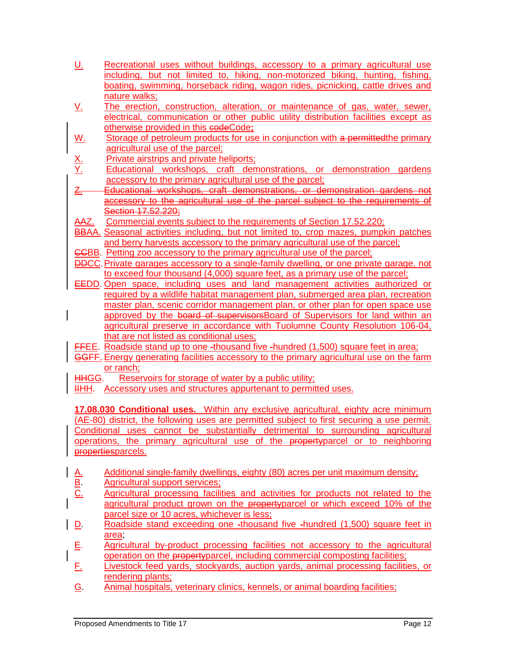| <u>U.</u>                           | Recreational uses without buildings, accessory to a primary agricultural use<br>including, but not limited to, hiking, non-motorized biking, hunting, fishing,   |
|-------------------------------------|------------------------------------------------------------------------------------------------------------------------------------------------------------------|
|                                     | boating, swimming, horseback riding, wagon rides, picnicking, cattle drives and                                                                                  |
|                                     | nature walks;                                                                                                                                                    |
| <u>V.</u>                           | The erection, construction, alteration, or maintenance of gas, water, sewer,                                                                                     |
|                                     | electrical, communication or other public utility distribution facilities except as                                                                              |
|                                     | otherwise provided in this codeCode;                                                                                                                             |
| <u>W.</u>                           | Storage of petroleum products for use in conjunction with a permitted the primary                                                                                |
|                                     | agricultural use of the parcel;                                                                                                                                  |
| $\frac{X}{Y}$                       | Private airstrips and private heliports;                                                                                                                         |
|                                     | Educational workshops, craft demonstrations, or demonstration gardens                                                                                            |
|                                     | accessory to the primary agricultural use of the parcel;                                                                                                         |
| $\underline{Z}$                     | Educational workshops, craft demonstrations, or demonstration gardens not                                                                                        |
|                                     | accessory to the agricultural use of the parcel subject to the requirements of                                                                                   |
|                                     | Section 17.52.220;                                                                                                                                               |
| AAZ.                                | Commercial events subject to the requirements of Section 17.52.220;                                                                                              |
|                                     | BBAA. Seasonal activities including, but not limited to, crop mazes, pumpkin patches                                                                             |
|                                     | and berry harvests accessory to the primary agricultural use of the parcel;<br><b>CCBB.</b> Petting zoo accessory to the primary agricultural use of the parcel; |
|                                     | <b>DDCC.</b> Private garages accessory to a single-family dwelling, or one private garage, not                                                                   |
|                                     | to exceed four thousand (4,000) square feet, as a primary use of the parcel;                                                                                     |
|                                     | <b>EEDD.</b> Open space, including uses and land management activities authorized or                                                                             |
|                                     | required by a wildlife habitat management plan, submerged area plan, recreation                                                                                  |
|                                     | master plan, scenic corridor management plan, or other plan for open space use                                                                                   |
|                                     | approved by the board of supervisors Board of Supervisors for land within an                                                                                     |
|                                     | agricultural preserve in accordance with Tuolumne County Resolution 106-04,                                                                                      |
|                                     | that are not listed as conditional uses;                                                                                                                         |
|                                     | FFEE. Roadside stand up to one -thousand five -hundred (1,500) square feet in area;                                                                              |
|                                     | GGFF. Energy generating facilities accessory to the primary agricultural use on the farm                                                                         |
|                                     | or ranch;                                                                                                                                                        |
| HHGG.                               | Reservoirs for storage of water by a public utility;                                                                                                             |
| HHH.                                | Accessory uses and structures appurtenant to permitted uses.                                                                                                     |
|                                     |                                                                                                                                                                  |
|                                     | 17.08.030 Conditional uses. Within any exclusive agricultural, eighty acre minimum                                                                               |
|                                     | (AE-80) district, the following uses are permitted subject to first securing a use permit.                                                                       |
|                                     | Conditional uses cannot be substantially detrimental to surrounding agricultural                                                                                 |
|                                     | operations, the primary agricultural use of the propertyparcel or to neighboring                                                                                 |
|                                     | propertiesparcels.                                                                                                                                               |
|                                     |                                                                                                                                                                  |
| $rac{\overline{A}}{\overline{B}}$ . | Additional single-family dwellings, eighty (80) acres per unit maximum density;<br><b>Agricultural support services;</b>                                         |
|                                     |                                                                                                                                                                  |
|                                     |                                                                                                                                                                  |
|                                     | Agricultural processing facilities and activities for products not related to the                                                                                |
|                                     | agricultural product grown on the propertyparcel or which exceed 10% of the                                                                                      |
|                                     | parcel size or 10 acres, whichever is less;                                                                                                                      |
| $\mathbf{D}$                        | Roadside stand exceeding one -thousand five -hundred (1,500) square feet in                                                                                      |
|                                     | area,                                                                                                                                                            |
| Ε.                                  | Agricultural by-product processing facilities not accessory to the agricultural                                                                                  |
|                                     | operation on the propertyparcel, including commercial composting facilities;                                                                                     |
| <u>Е.</u>                           | Livestock feed yards, stockyards, auction yards, animal processing facilities, or                                                                                |
| <u>G</u>                            | rendering plants;<br>Animal hospitals, veterinary clinics, kennels, or animal boarding facilities;                                                               |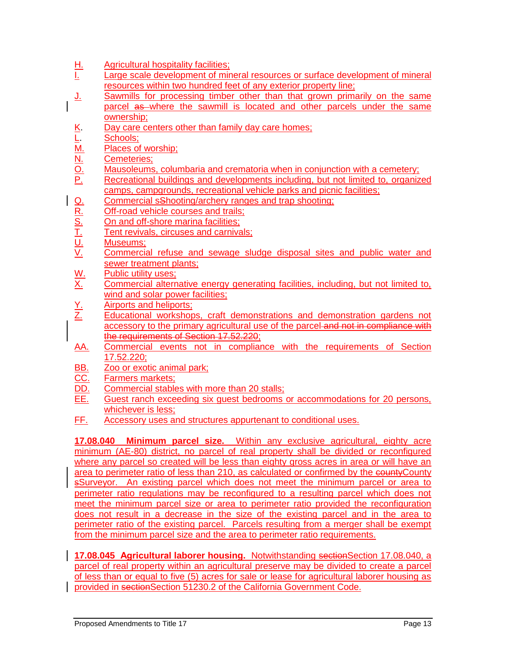- 
- H. Agricultural hospitality facilities;<br><u>I.</u> Large scale development of mir Large scale development of mineral resources or surface development of mineral resources within two hundred feet of any exterior property line;
- J. Sawmills for processing timber other than that grown primarily on the same parcel as where the sawmill is located and other parcels under the same ownership;
- 
- Schools;
- Places of worship;
- Cemeteries;
- Mausoleums, columbaria and crematoria when in conjunction with a cemetery;
- X. Day care centers other than family day care homes;<br>
<u>L. Schools;</u><br>
<u>M.</u> Places of worship;<br>
<u>N.</u> Cemeteries;<br>
<u>O.</u> Mausoleums, columbaria and crematoria when in co<br>
<u>P.</u> Recreational buildings and developments including Recreational buildings and developments including, but not limited to, organized camps, campgrounds, recreational vehicle parks and picnic facilities;
- <u>Q. Commercial sShooting/archery ranges and trap shooting;<br>
R. Off-road vehicle courses and trails;<br>
S. On and off-shore marina facilities;<br>
T. Tent revivals, circuses and carnivals;<br>
<u>U.</u> Museums;<br>
Commercial refuse and s</u>
- Off-road vehicle courses and trails;
- On and off-shore marina facilities;
- Tent revivals, circuses and carnivals;
- Museums;
- Commercial refuse and sewage sludge disposal sites and public water and sewer treatment plants;
- 
- W. Public utility uses:<br>X. Commercial altern Commercial alternative energy generating facilities, including, but not limited to, wind and solar power facilities;
- <u>Y.</u> Airports and heliports;<br><u>Z.</u> Educational workshop
- Educational workshops, craft demonstrations and demonstration gardens not accessory to the primary agricultural use of the parcel and not in compliance with the requirements of Section 17.52.220;
- AA. Commercial events not in compliance with the requirements of Section 17.52.220;
- BB. Zoo or exotic animal park;
- CC. Farmers markets;
- DD. Commercial stables with more than 20 stalls;
- EE. Guest ranch exceeding six guest bedrooms or accommodations for 20 persons, whichever is less;
- FF. Accessory uses and structures appurtenant to conditional uses.

**17.08.040 Minimum parcel size.** Within any exclusive agricultural, eighty acre minimum (AE-80) district, no parcel of real property shall be divided or reconfigured where any parcel so created will be less than eighty gross acres in area or will have an area to perimeter ratio of less than 210, as calculated or confirmed by the countyCounty sSurveyor. An existing parcel which does not meet the minimum parcel or area to perimeter ratio regulations may be reconfigured to a resulting parcel which does not meet the minimum parcel size or area to perimeter ratio provided the reconfiguration does not result in a decrease in the size of the existing parcel and in the area to perimeter ratio of the existing parcel. Parcels resulting from a merger shall be exempt from the minimum parcel size and the area to perimeter ratio requirements.

**17.08.045 Agricultural laborer housing.** Notwithstanding sectionSection 17.08.040, a parcel of real property within an agricultural preserve may be divided to create a parcel of less than or equal to five (5) acres for sale or lease for agricultural laborer housing as provided in sectionSection 51230.2 of the California Government Code.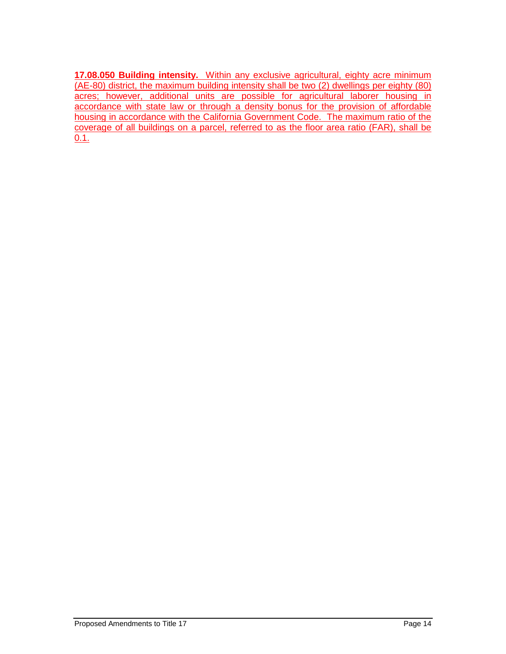**17.08.050 Building intensity.** Within any exclusive agricultural, eighty acre minimum (AE-80) district, the maximum building intensity shall be two (2) dwellings per eighty (80) acres; however, additional units are possible for agricultural laborer housing in accordance with state law or through a density bonus for the provision of affordable housing in accordance with the California Government Code. The maximum ratio of the coverage of all buildings on a parcel, referred to as the floor area ratio (FAR), shall be 0.1.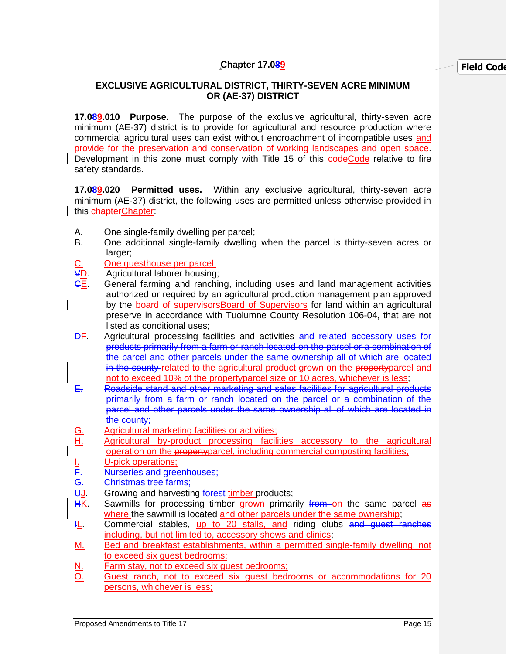# **EXCLUSIVE AGRICULTURAL DISTRICT, THIRTY-SEVEN ACRE MINIMUM OR (AE-37) DISTRICT**

**17.089.010 Purpose.** The purpose of the exclusive agricultural, thirty-seven acre minimum (AE-37) district is to provide for agricultural and resource production where commercial agricultural uses can exist without encroachment of incompatible uses and provide for the preservation and conservation of working landscapes and open space. Development in this zone must comply with Title 15 of this codeCode relative to fire safety standards.

**17.089.020 Permitted uses.** Within any exclusive agricultural, thirty-seven acre minimum (AE-37) district, the following uses are permitted unless otherwise provided in this chapterChapter:

- A. One single-family dwelling per parcel;
- B. One additional single-family dwelling when the parcel is thirty-seven acres or larger:
- C. Che guesthouse per parcel;<br>
<del>V</del>D. Agricultural laborer housing:
- Agricultural laborer housing:
- General farming and ranching, including uses and land management activities authorized or required by an agricultural production management plan approved by the board of supervisors Board of Supervisors for land within an agricultural preserve in accordance with Tuolumne County Resolution 106-04, that are not listed as conditional uses;
- DF. Agricultural processing facilities and activities and related accessory uses for products primarily from a farm or ranch located on the parcel or a combination of the parcel and other parcels under the same ownership all of which are located in the county related to the agricultural product grown on the property parcel and not to exceed 10% of the propertyparcel size or 10 acres, whichever is less;
- E. Roadside stand and other marketing and sales facilities for agricultural products primarily from a farm or ranch located on the parcel or a combination of the parcel and other parcels under the same ownership all of which are located in the county;
- G. Agricultural marketing facilities or activities;
- H. Agricultural by-product processing facilities accessory to the agricultural operation on the propertyparcel, including commercial composting facilities;
- Nurseries and greenhouses;
- <u>I.</u> U-pick operations;<br>
<del>F.</del> Nurseries and gree<br>
G. Christmas tree farm
- G. Christmas tree farms;<br>U. Growing and harvestir Growing and harvesting forest-timber products;
- HK. Sawmills for processing timber grown primarily from on the same parcel as where the sawmill is located and other parcels under the same ownership;
- **IL.** Commercial stables, up to 20 stalls, and riding clubs and quest ranches including, but not limited to, accessory shows and clinics;
- M. Bed and breakfast establishments, within a permitted single-family dwelling, not to exceed six guest bedrooms;
- N. Farm stay, not to exceed six guest bedrooms;
- O. Guest ranch, not to exceed six guest bedrooms or accommodations for 20 persons, whichever is less;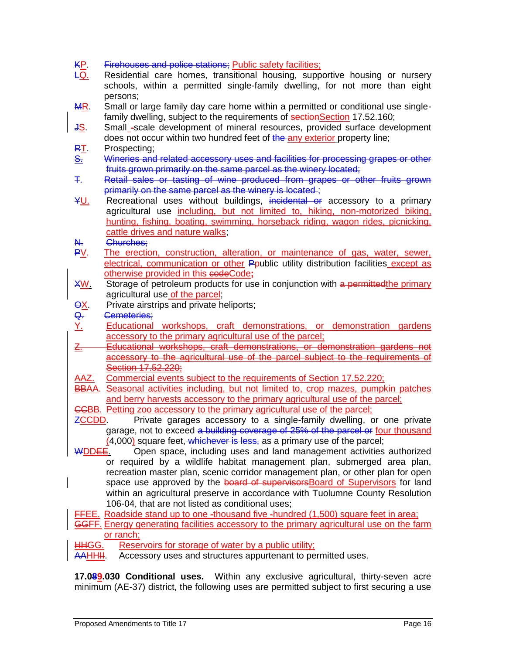KP. Firehouses and police stations; Public safety facilities;<br>LQ. Residential care homes, transitional housing, supp

- Residential care homes, transitional housing, supportive housing or nursery schools, within a permitted single-family dwelling, for not more than eight persons;
- MR. Small or large family day care home within a permitted or conditional use singlefamily dwelling, subject to the requirements of sectionSection 17.52.160;
- JS. Small\_-scale development of mineral resources, provided surface development does not occur within two hundred feet of the any exterior property line; RT. Prospecting;
- S. Wineries and related accessory uses and facilities for processing grapes or other fruits grown primarily on the same parcel as the winery located;
- T. Retail sales or tasting of wine produced from grapes or other fruits grown primarily on the same parcel as the winery is located;
- YU. Recreational uses without buildings, incidental or accessory to a primary agricultural use including, but not limited to, hiking, non-motorized biking, hunting, fishing, boating, swimming, horseback riding, wagon rides, picnicking, cattle drives and nature walks;
- N. Churches;
- PV. The erection, construction, alteration, or maintenance of gas, water, sewer, electrical, communication or other Ppublic utility distribution facilities except as otherwise provided in this codeCode**;**
- XW. Storage of petroleum products for use in conjunction with a permitted the primary agricultural use of the parcel;
- **OX.** Private airstrips and private heliports;
- Q. Cemeteries:
- Y. Educational workshops, craft demonstrations, or demonstration gardens accessory to the primary agricultural use of the parcel;
- Z. Educational workshops, craft demonstrations, or demonstration gardens not accessory to the agricultural use of the parcel subject to the requirements of Section 17,52,220;
- AAZ. Commercial events subject to the requirements of Section 17.52.220;
- BBAA. Seasonal activities including, but not limited to, crop mazes, pumpkin patches and berry harvests accessory to the primary agricultural use of the parcel;
- CCBB. Petting zoo accessory to the primary agricultural use of the parcel;
- ZCCDD. Private garages accessory to a single-family dwelling, or one private garage, not to exceed a building coverage of 25% of the parcel or four thousand (4,000) square feet, whichever is less, as a primary use of the parcel;
- WDDEE. Open space, including uses and land management activities authorized or required by a wildlife habitat management plan, submerged area plan, recreation master plan, scenic corridor management plan, or other plan for open space use approved by the board of supervisorsBoard of Supervisors for land within an agricultural preserve in accordance with Tuolumne County Resolution 106-04, that are not listed as conditional uses;

FFEE. Roadside stand up to one -thousand five -hundred (1,500) square feet in area;

# GGFF. Energy generating facilities accessory to the primary agricultural use on the farm or ranch;

HHGG. Reservoirs for storage of water by a public utility;

AAHHII. Accessory uses and structures appurtenant to permitted uses.

**17.089.030 Conditional uses.** Within any exclusive agricultural, thirty-seven acre minimum (AE-37) district, the following uses are permitted subject to first securing a use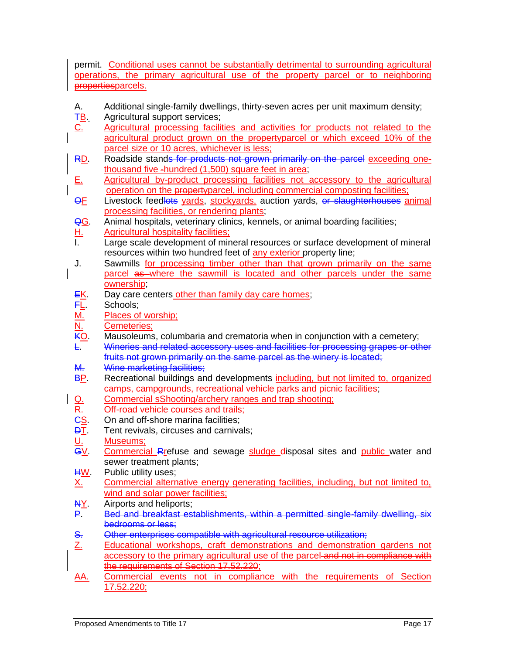permit. Conditional uses cannot be substantially detrimental to surrounding agricultural operations, the primary agricultural use of the property parcel or to neighboring propertiesparcels.

- A. Additional single-family dwellings, thirty-seven acres per unit maximum density;
- **TB.** Agricultural support services;
- C. Agricultural processing facilities and activities for products not related to the agricultural product grown on the propertyparcel or which exceed 10% of the parcel size or 10 acres, whichever is less;
- RD. Roadside stands for products not grown primarily on the parcel exceeding onethousand five -hundred (1,500) square feet in area;
- E. Agricultural by-product processing facilities not accessory to the agricultural operation on the propertyparcel, including commercial composting facilities;
- OF Livestock feedlots yards, stockyards, auction yards, or slaughterhouses animal processing facilities, or rendering plants;
- QG. Animal hospitals, veterinary clinics, kennels, or animal boarding facilities;
- H. Agricultural hospitality facilities;<br>Large scale development of min
- Large scale development of mineral resources or surface development of mineral resources within two hundred feet of any exterior property line;
- J. Sawmills for processing timber other than that grown primarily on the same parcel as where the sawmill is located and other parcels under the same ownership;
- EK. Day care centers other than family day care homes;
- <mark>F<u>L</u>.</mark> Schools;<br>M. Places of
- M. Places of worship;<br>N. Cemeteries;
- N. Cemeteries:<br>KO. Mausoleums
- Mausoleums, columbaria and crematoria when in conjunction with a cemetery;
- L. Wineries and related accessory uses and facilities for processing grapes or other fruits not grown primarily on the same parcel as the winery is located;
- M. Wine marketing facilities;
- BP. Recreational buildings and developments including, but not limited to, organized camps, campgrounds, recreational vehicle parks and picnic facilities;
- Q. Commercial sShooting/archery ranges and trap shooting;<br>
R. Off-road vehicle courses and trails;<br>
CS. On and off-shore marina facilities;<br>
D<u>T</u>. Tent revivals, circuses and carnivals;
- Off-road vehicle courses and trails;
- On and off-shore marina facilities;
- 
- Museums:
- <u>DT</u>. Tent revivals, circuses and carnivals;<br><u>U. Museums;</u><br>G<u>V</u>. Commercial\_Rrefuse and sewage <u>sl</u> Commercial Rrefuse and sewage sludge disposal sites and public water and sewer treatment plants;
- **HW.** Public utility uses;
- X. Commercial alternative energy generating facilities, including, but not limited to, wind and solar power facilities:
- NY. Airports and heliports;
- P. Bed and breakfast establishments, within a permitted single-family dwelling, six bedrooms or less;
- S. Other enterprises compatible with agricultural resource utilization;
- Z. Educational workshops, craft demonstrations and demonstration gardens not accessory to the primary agricultural use of the parcel-and not in compliance with the requirements of Section 17.52.220;
- AA. Commercial events not in compliance with the requirements of Section 17.52.220;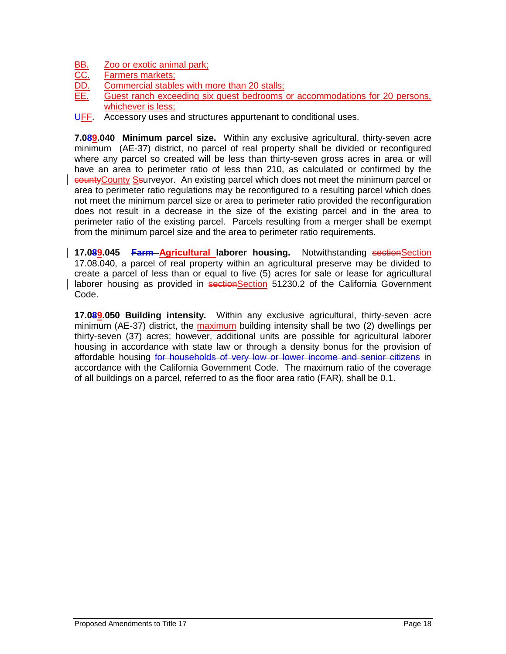- BB. Zoo or exotic animal park;
- CC. Farmers markets;
- DD. Commercial stables with more than 20 stalls;
- EE. Guest ranch exceeding six guest bedrooms or accommodations for 20 persons, whichever is less;
- UFF. Accessory uses and structures appurtenant to conditional uses.

**7.089.040 Minimum parcel size.** Within any exclusive agricultural, thirty-seven acre minimum (AE-37) district, no parcel of real property shall be divided or reconfigured where any parcel so created will be less than thirty-seven gross acres in area or will have an area to perimeter ratio of less than 210, as calculated or confirmed by the countyCounty Ssurveyor. An existing parcel which does not meet the minimum parcel or area to perimeter ratio regulations may be reconfigured to a resulting parcel which does not meet the minimum parcel size or area to perimeter ratio provided the reconfiguration does not result in a decrease in the size of the existing parcel and in the area to perimeter ratio of the existing parcel. Parcels resulting from a merger shall be exempt from the minimum parcel size and the area to perimeter ratio requirements.

**17.089.045 <b>Farm** Agricultural laborer housing. Notwithstanding sectionSection 17.08.040, a parcel of real property within an agricultural preserve may be divided to create a parcel of less than or equal to five (5) acres for sale or lease for agricultural laborer housing as provided in sectionSection 51230.2 of the California Government Code.

**17.089.050 Building intensity.** Within any exclusive agricultural, thirty-seven acre minimum (AE-37) district, the maximum building intensity shall be two (2) dwellings per thirty-seven (37) acres; however, additional units are possible for agricultural laborer housing in accordance with state law or through a density bonus for the provision of affordable housing for households of very low or lower income and senior citizens in accordance with the California Government Code. The maximum ratio of the coverage of all buildings on a parcel, referred to as the floor area ratio (FAR), shall be 0.1.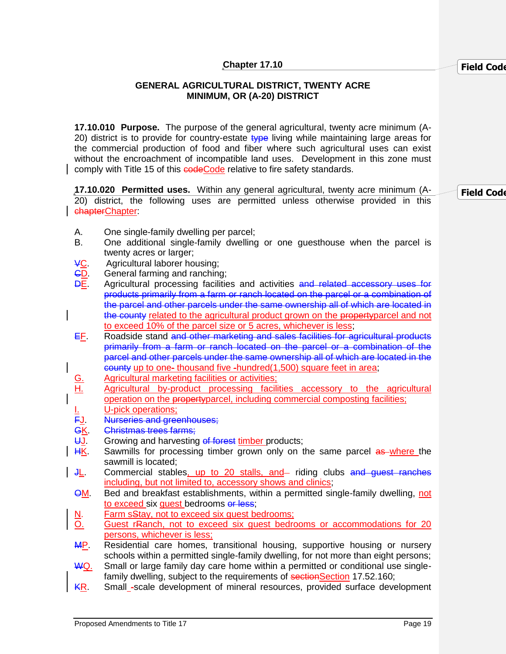#### **GENERAL AGRICULTURAL DISTRICT, TWENTY ACRE MINIMUM, OR (A-20) DISTRICT**

**17.10.010 Purpose.** The purpose of the general agricultural, twenty acre minimum (A-20) district is to provide for country-estate type living while maintaining large areas for the commercial production of food and fiber where such agricultural uses can exist without the encroachment of incompatible land uses. Development in this zone must comply with Title 15 of this codeCode relative to fire safety standards.

**17.10.020 Permitted uses.** Within any general agricultural, twenty acre minimum (A-20) district, the following uses are permitted unless otherwise provided in this chapterChapter: **Field Code** 

- A. One single-family dwelling per parcel;
- B. One additional single-family dwelling or one guesthouse when the parcel is twenty acres or larger;
- VC. Agricultural laborer housing;
- CD. General farming and ranching;
- DE. Agricultural processing facilities and activities and related accessory uses for products primarily from a farm or ranch located on the parcel or a combination of the parcel and other parcels under the same ownership all of which are located in the county related to the agricultural product grown on the property parcel and not to exceed 10% of the parcel size or 5 acres, whichever is less;
- EF. Roadside stand and other marketing and sales facilities for agricultural products primarily from a farm or ranch located on the parcel or a combination of the parcel and other parcels under the same ownership all of which are located in the county up to one- thousand five -hundred(1,500) square feet in area;
	-
- G. Agricultural marketing facilities or activities;<br>
<u>H.</u> Agricultural by-product processing facilities Agricultural by-product processing facilities accessory to the agricultural operation on the propertyparcel, including commercial composting facilities;
- <u>I.</u> U-pick operations;<br>F<u>J</u>. Nurseries and gree Nurseries and greenhouses;
- GK. Christmas trees farms;
- UJ. Growing and harvesting of forest timber products;
- HK. Sawmills for processing timber grown only on the same parcel as where the sawmill is located;
- JL. Commercial stables, up to 20 stalls, and riding clubs and guest ranches including, but not limited to, accessory shows and clinics;
- **QM.** Bed and breakfast establishments, within a permitted single-family dwelling, not to exceed six quest bedrooms or less;
- N. Farm sStay, not to exceed six quest bedrooms;
- O. Guest rRanch, not to exceed six guest bedrooms or accommodations for 20 persons, whichever is less;
- **MP.** Residential care homes, transitional housing, supportive housing or nursery schools within a permitted single-family dwelling, for not more than eight persons;
- $\overline{WQ}$ . Small or large family day care home within a permitted or conditional use singlefamily dwelling, subject to the requirements of sectionSection 17.52.160;
- KR. Small -scale development of mineral resources, provided surface development

**Field Code**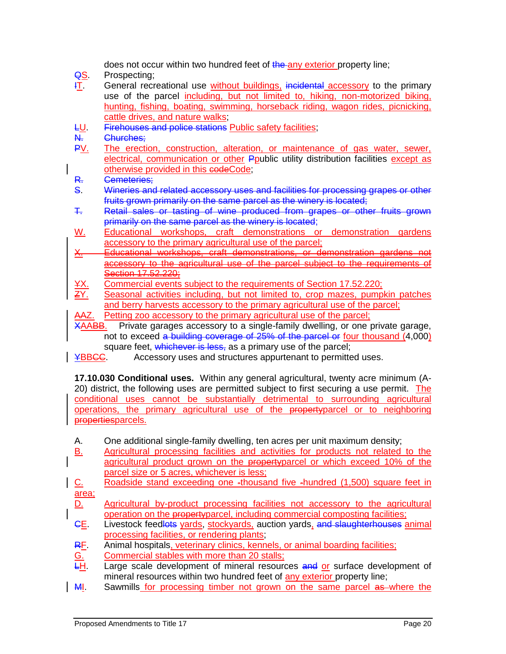does not occur within two hundred feet of the any exterior property line;

- **QS.** Prospecting;
- **IT.** General recreational use without buildings, incidental accessory to the primary use of the parcel including, but not limited to, hiking, non-motorized biking, hunting, fishing, boating, swimming, horseback riding, wagon rides, picnicking, cattle drives, and nature walks;
- LU. Firehouses and police stations Public safety facilities;
- N. Churches;
- PV. The erection, construction, alteration, or maintenance of gas water, sewer, electrical, communication or other Ppublic utility distribution facilities except as otherwise provided in this codeCode;
- R. Cemeteries;
- S. Wineries and related accessory uses and facilities for processing grapes or other fruits grown primarily on the same parcel as the winery is located;
- T. Retail sales or tasting of wine produced from grapes or other fruits grown primarily on the same parcel as the winery is located;
- W. Educational workshops, craft demonstrations or demonstration gardens accessory to the primary agricultural use of the parcel;
- X. Educational workshops, craft demonstrations, or demonstration gardens not accessory to the agricultural use of the parcel subject to the requirements of Section 17.52.220;
- YX. Commercial events subject to the requirements of Section 17.52.220;
- ZY. Seasonal activities including, but not limited to, crop mazes, pumpkin patches and berry harvests accessory to the primary agricultural use of the parcel;
- AAZ. Petting zoo accessory to the primary agricultural use of the parcel;<br>XAABB. Private garages accessory to a single-family dwelling, or one p

Private garages accessory to a single-family dwelling, or one private garage, not to exceed a building coverage of 25% of the parcel or four thousand (4,000) square feet, whichever is less, as a primary use of the parcel;

**¥BBCC.** Accessory uses and structures appurtenant to permitted uses.

**17.10.030 Conditional uses.** Within any general agricultural, twenty acre minimum (A-20) district, the following uses are permitted subject to first securing a use permit. The conditional uses cannot be substantially detrimental to surrounding agricultural operations, the primary agricultural use of the propertyparcel or to neighboring propertiesparcels.

- A. One additional single-family dwelling, ten acres per unit maximum density;
- B. Agricultural processing facilities and activities for products not related to the agricultural product grown on the propertyparcel or which exceed 10% of the parcel size or 5 acres, whichever is less;
- C. Roadside stand exceeding one -thousand five -hundred (1,500) square feet in area;
- D. Agricultural by-product processing facilities not accessory to the agricultural operation on the propertyparcel, including commercial composting facilities;
- GE. Livestock feedlots yards, stockyards, auction yards, and slaughterhouses animal processing facilities, or rendering plants;
- RF. Animal hospitals, veterinary clinics, kennels, or animal boarding facilities;
- G. Commercial stables with more than 20 stalls;<br>H. Large scale development of mineral resource
- Large scale development of mineral resources and or surface development of mineral resources within two hundred feet of any exterior property line;
- MI. Sawmills for processing timber not grown on the same parcel as where the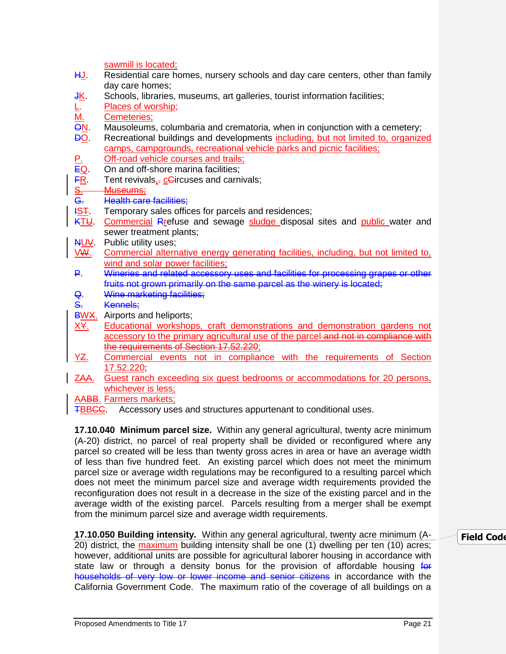|                                                                                 | sawmill is located;                                                                 |  |
|---------------------------------------------------------------------------------|-------------------------------------------------------------------------------------|--|
| <u>HJ</u> .                                                                     | Residential care homes, nursery schools and day care centers, other than family     |  |
|                                                                                 | day care homes;                                                                     |  |
| <u>JK</u>                                                                       | Schools, libraries, museums, art galleries, tourist information facilities;         |  |
|                                                                                 | Places of worship;                                                                  |  |
|                                                                                 | Cemeteries;                                                                         |  |
|                                                                                 | Mausoleums, columbaria and crematoria, when in conjunction with a cemetery;         |  |
| $\frac{\overline{MN}}{\overline{MN}}$                                           | Recreational buildings and developments including, but not limited to, organized    |  |
|                                                                                 | camps, campgrounds, recreational vehicle parks and picnic facilities;               |  |
|                                                                                 | Off-road vehicle courses and trails;                                                |  |
|                                                                                 | On and off-shore marina facilities;                                                 |  |
|                                                                                 | Tent revivals,- cGircuses and carnivals;                                            |  |
|                                                                                 | Museums;                                                                            |  |
| 한한 평면                                                                           | <b>Health care facilities:</b>                                                      |  |
| <u>IST</u>                                                                      | Temporary sales offices for parcels and residences;                                 |  |
| <u>KTU</u>                                                                      | Commercial Rrefuse and sewage sludge disposal sites and public water and            |  |
|                                                                                 | sewer treatment plants;                                                             |  |
| NUV                                                                             | Public utility uses;                                                                |  |
| <b>VW.</b>                                                                      | Commercial alternative energy generating facilities, including, but not limited to, |  |
|                                                                                 | wind and solar power facilities;                                                    |  |
| ₽.                                                                              | Wineries and related accessory uses and facilities for processing grapes or other   |  |
|                                                                                 | fruits not grown primarily on the same parcel as the winery is located;             |  |
| Q                                                                               | Wine marketing facilities;                                                          |  |
| S <sub>r</sub>                                                                  | Kennels:                                                                            |  |
| <b>BWX.</b>                                                                     | Airports and heliports;                                                             |  |
| <u>X¥.</u>                                                                      | Educational workshops, craft demonstrations and demonstration gardens not           |  |
|                                                                                 | accessory to the primary agricultural use of the parcel and not in compliance with  |  |
|                                                                                 | the requirements of Section 17.52.220;                                              |  |
| <u>YZ.</u>                                                                      | Commercial events not in compliance with the requirements of Section                |  |
|                                                                                 | 17.52.220                                                                           |  |
| <u>ZAA.</u>                                                                     | Guest ranch exceeding six guest bedrooms or accommodations for 20 persons,          |  |
|                                                                                 | whichever is less;                                                                  |  |
|                                                                                 | <b>AABB.</b> Farmers markets;                                                       |  |
| Accessory uses and structures appurtenant to conditional uses.<br><b>TBBCC.</b> |                                                                                     |  |

**17.10.040 Minimum parcel size.** Within any general agricultural, twenty acre minimum (A-20) district, no parcel of real property shall be divided or reconfigured where any parcel so created will be less than twenty gross acres in area or have an average width of less than five hundred feet. An existing parcel which does not meet the minimum parcel size or average width regulations may be reconfigured to a resulting parcel which does not meet the minimum parcel size and average width requirements provided the reconfiguration does not result in a decrease in the size of the existing parcel and in the average width of the existing parcel. Parcels resulting from a merger shall be exempt from the minimum parcel size and average width requirements.

#### **17.10.050 Building intensity.** Within any general agricultural, twenty acre minimum (A-20) district, the maximum building intensity shall be one (1) dwelling per ten (10) acres; however, additional units are possible for agricultural laborer housing in accordance with state law or through a density bonus for the provision of affordable housing for households of very low or lower income and senior citizens in accordance with the California Government Code. The maximum ratio of the coverage of all buildings on a **Field Code**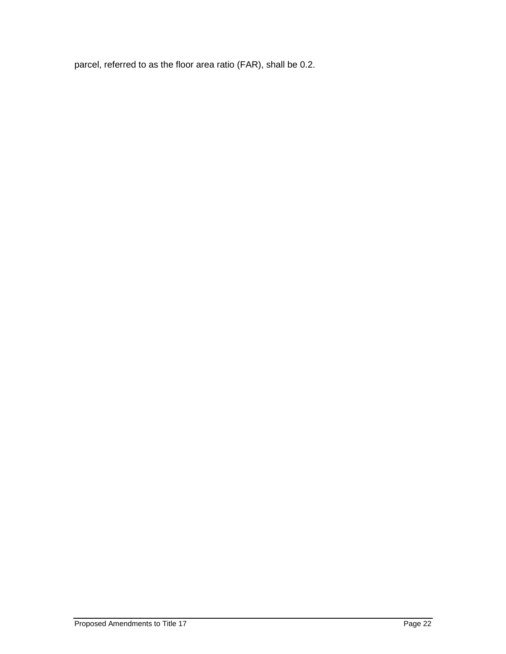parcel, referred to as the floor area ratio (FAR), shall be 0.2.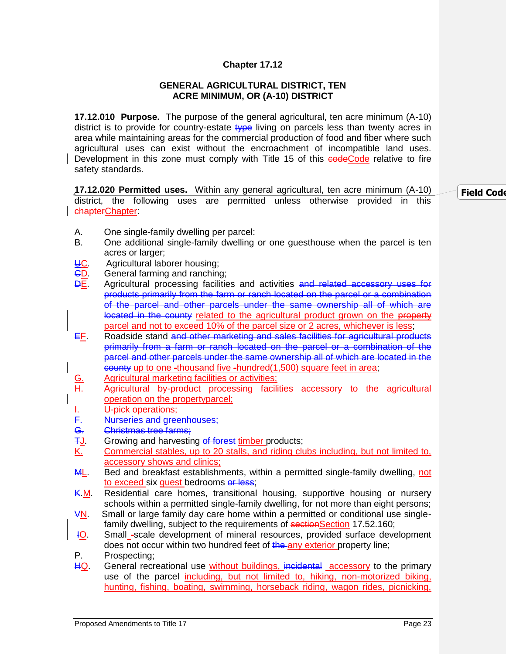#### **GENERAL AGRICULTURAL DISTRICT, TEN ACRE MINIMUM, OR (A-10) DISTRICT**

**17.12.010 Purpose.** The purpose of the general agricultural, ten acre minimum (A-10) district is to provide for country-estate type living on parcels less than twenty acres in area while maintaining areas for the commercial production of food and fiber where such agricultural uses can exist without the encroachment of incompatible land uses. Development in this zone must comply with Title 15 of this codeCode relative to fire safety standards.

**17.12.020 Permitted uses.** Within any general agricultural, ten acre minimum (A-10) district, the following uses are permitted unless otherwise provided in this chapterChapter:

**Field Code** 

- A. One single-family dwelling per parcel:
- B. One additional single-family dwelling or one guesthouse when the parcel is ten acres or larger;
- **UC.** Agricultural laborer housing;<br>**CD.** General farming and ranching
- General farming and ranching;
- **DE.** Agricultural processing facilities and activities and related accessory uses for products primarily from the farm or ranch located on the parcel or a combination of the parcel and other parcels under the same ownership all of which are located in the county related to the agricultural product grown on the property parcel and not to exceed 10% of the parcel size or 2 acres, whichever is less;
- EF. Roadside stand and other marketing and sales facilities for agricultural products primarily from a farm or ranch located on the parcel or a combination of the parcel and other parcels under the same ownership all of which are located in the county up to one -thousand five -hundred(1,500) square feet in area;
- 
- G. Agricultural marketing facilities or activities;<br>
<u>H.</u> Agricultural by-product processing facilities Agricultural by-product processing facilities accessory to the agricultural operation on the propertyparcel;
- <u>I.</u> <u>U-pick operations;</u><br>F. Nurseries and gree
- Nurseries and greenhouses;
- G. Christmas tree farms;
- **TJ.** Growing and harvesting of forest timber products;
- K. Commercial stables, up to 20 stalls, and riding clubs including, but not limited to, accessory shows and clinics;
- ML. Bed and breakfast establishments, within a permitted single-family dwelling, not to exceed six quest bedrooms or less:
- K.M. Residential care homes, transitional housing, supportive housing or nursery schools within a permitted single-family dwelling, for not more than eight persons;
- VN. Small or large family day care home within a permitted or conditional use singlefamily dwelling, subject to the requirements of sectionSection 17.52.160;
- IO. Small -scale development of mineral resources, provided surface development does not occur within two hundred feet of the any exterior property line;
- P. Prospecting;
- HQ. General recreational use without buildings, incidental accessory to the primary use of the parcel including, but not limited to, hiking, non-motorized biking, hunting, fishing, boating, swimming, horseback riding, wagon rides, picnicking,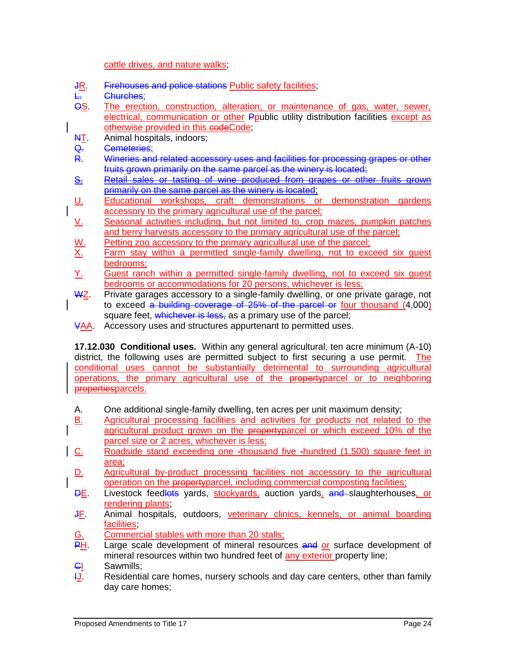#### cattle drives, and nature walks;

- JR. Firehouses and police stations Public safety facilities;
- Churches:
- OS. The erection, construction, alteration, or maintenance of gas, water, sewer, electrical, communication or other Ppublic utility distribution facilities except as otherwise provided in this codeCode;
- **AT.** Animal hospitals, indoors;
- Q. Cemeteries;
- R. Wineries and related accessory uses and facilities for processing grapes or other fruits grown primarily on the same parcel as the winery is located;
- S. Retail sales or tasting of wine produced from grapes or other fruits grown primarily on the same parcel as the winery is located;
- U. Educational workshops, craft demonstrations or demonstration gardens accessory to the primary agricultural use of the parcel;
- V. Seasonal activities including, but not limited to, crop mazes, pumpkin patches and berry harvests accessory to the primary agricultural use of the parcel;
- W. Petting zoo accessory to the primary agricultural use of the parcel;<br>X. Farm stay within a permitted single-family dwelling, not to exc
- Farm stay within a permitted single-family dwelling, not to exceed six quest bedrooms;
- Y. Guest ranch within a permitted single-family dwelling, not to exceed six guest bedrooms or accommodations for 20 persons, whichever is less;
- WZ. Private garages accessory to a single-family dwelling, or one private garage, not to exceed a building coverage of 25% of the parcel or four thousand (4,000) square feet, whichever is less, as a primary use of the parcel;
- VAA. Accessory uses and structures appurtenant to permitted uses.

**17.12.030 Conditional uses.** Within any general agricultural, ten acre minimum (A-10) district, the following uses are permitted subject to first securing a use permit. The conditional uses cannot be substantially detrimental to surrounding agricultural operations, the primary agricultural use of the propertyparcel or to neighboring propertiesparcels.

- A. One additional single-family dwelling, ten acres per unit maximum density;
- B. Agricultural processing facilities and activities for products not related to the agricultural product grown on the property parcel or which exceed 10% of the parcel size or 2 acres, whichever is less;
- C. Roadside stand exceeding one -thousand five -hundred (1,500) square feet in area;
- D. Agricultural by-product processing facilities not accessory to the agricultural operation on the propertyparcel, including commercial composting facilities;
- DE. Livestock feedlots yards, stockyards, auction yards, and slaughterhouses, or rendering plants;
- JF. Animal hospitals, outdoors, veterinary clinics, kennels, or animal boarding facilities;
- G. Commercial stables with more than 20 stalls;<br>
PH. Large scale development of mineral resourd
- Large scale development of mineral resources and or surface development of mineral resources within two hundred feet of any exterior property line;
- **CI** Sawmills;
- $\frac{11}{2}$ . Residential care homes, nursery schools and day care centers, other than family day care homes;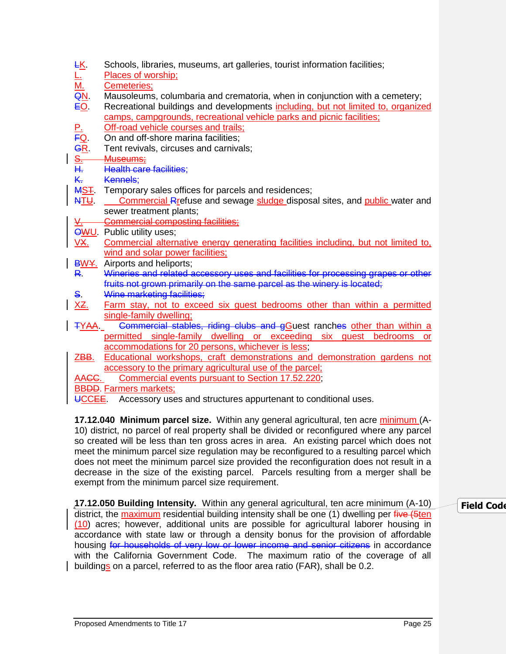| <u>FR</u>                                    | Schools, libraries, museums, art galleries, tourist information facilities;        |
|----------------------------------------------|------------------------------------------------------------------------------------|
|                                              | Places of worship;                                                                 |
| $\frac{1}{\sqrt{2}}$<br>$\frac{1}{\sqrt{2}}$ | Cemeteries;                                                                        |
|                                              | Mausoleums, columbaria and crematoria, when in conjunction with a cemetery;        |
|                                              | Recreational buildings and developments including, but not limited to, organized   |
|                                              | camps, campgrounds, recreational vehicle parks and picnic facilities;              |
|                                              | Off-road vehicle courses and trails;                                               |
|                                              | On and off-shore marina facilities;                                                |
| 포 <mark>의 이</mark> 리다                        | Tent revivals, circuses and carnivals;                                             |
|                                              | Museums;                                                                           |
|                                              | <b>Health care facilities;</b>                                                     |
| <b>K.</b>                                    | Kennels;                                                                           |
| <b>MST</b>                                   | Temporary sales offices for parcels and residences;                                |
| NTU                                          | Commercial Rrefuse and sewage sludge disposal sites, and public water and          |
|                                              | sewer treatment plants;                                                            |
| <u>v.</u>                                    | <b>Commercial composting facilities;</b>                                           |
|                                              | <b>OWU.</b> Public utility uses;                                                   |
| VX.                                          | Commercial alternative energy generating facilities including, but not limited to, |
|                                              | wind and solar power facilities;                                                   |
|                                              | <b>BWY.</b> Airports and heliports;                                                |
| R.                                           | Wineries and related accessory uses and facilities for processing grapes or other  |
|                                              | fruits not grown primarily on the same parcel as the winery is located;            |
| S.                                           | Wine marketing facilities;                                                         |
| <u>XZ.</u>                                   | Farm stay, not to exceed six guest bedrooms other than within a permitted          |
|                                              | single-family dwelling;                                                            |
| <b>TYAA</b>                                  | Commercial stables, riding clubs and gGuest ranches other than within a            |
|                                              | permitted single-family dwelling or exceeding six guest bedrooms<br><b>or</b>      |
|                                              | accommodations for 20 persons, whichever is less;                                  |
| ZBB.                                         | Educational workshops, craft demonstrations and demonstration gardens not          |
|                                              | accessory to the primary agricultural use of the parcel:                           |
| AA <del>CC</del> .                           | Commercial events pursuant to Section 17.52.220;                                   |
|                                              | <b>BBDD.</b> Farmers markets;                                                      |

UCCEE. Accessory uses and structures appurtenant to conditional uses.

**17.12.040 Minimum parcel size.** Within any general agricultural, ten acre minimum (A-10) district, no parcel of real property shall be divided or reconfigured where any parcel so created will be less than ten gross acres in area. An existing parcel which does not meet the minimum parcel size regulation may be reconfigured to a resulting parcel which does not meet the minimum parcel size provided the reconfiguration does not result in a decrease in the size of the existing parcel. Parcels resulting from a merger shall be exempt from the minimum parcel size requirement.

**17.12.050 Building Intensity.** Within any general agricultural, ten acre minimum (A-10) district, the maximum residential building intensity shall be one (1) dwelling per five (5ten (10) acres; however, additional units are possible for agricultural laborer housing in accordance with state law or through a density bonus for the provision of affordable housing for households of very low or lower income and senior citizens in accordance with the California Government Code. The maximum ratio of the coverage of all buildings on a parcel, referred to as the floor area ratio (FAR), shall be 0.2.

# **Field Code**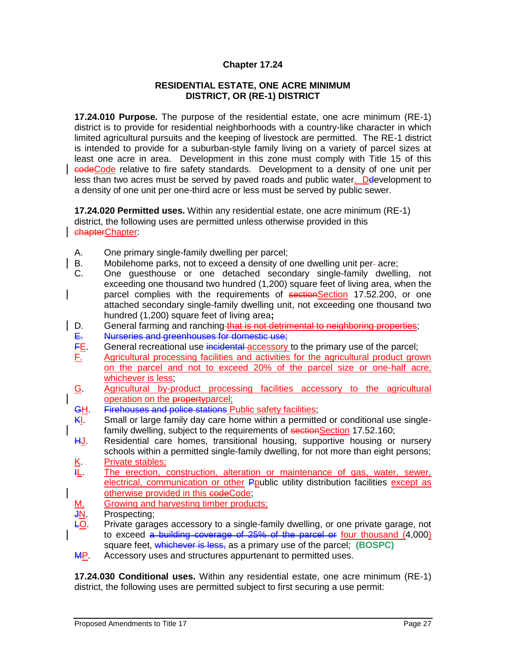#### **RESIDENTIAL ESTATE, ONE ACRE MINIMUM DISTRICT, OR (RE-1) DISTRICT**

**17.24.010 Purpose.** The purpose of the residential estate, one acre minimum (RE-1) district is to provide for residential neighborhoods with a country-like character in which limited agricultural pursuits and the keeping of livestock are permitted. The RE-1 district is intended to provide for a suburban-style family living on a variety of parcel sizes at least one acre in area. Development in this zone must comply with Title 15 of this codeCode relative to fire safety standards. Development to a density of one unit per less than two acres must be served by paved roads and public water. Development to a density of one unit per one-third acre or less must be served by public sewer.

**17.24.020 Permitted uses.** Within any residential estate, one acre minimum (RE-1) district, the following uses are permitted unless otherwise provided in this chapterChapter:

- A. One primary single-family dwelling per parcel;
- B. Mobilehome parks, not to exceed a density of one dwelling unit per-acre;
- C. One guesthouse or one detached secondary single-family dwelling, not exceeding one thousand two hundred (1,200) square feet of living area, when the parcel complies with the requirements of sectionSection 17.52.200, or one attached secondary single-family dwelling unit, not exceeding one thousand two hundred (1,200) square feet of living area**;**
- D. General farming and ranching that is not detrimental to neighboring properties;
- 
- E. Nurseries and greenhouses for domestic use;<br>FE. General recreational use incidental accessory General recreational use incidental accessory to the primary use of the parcel;
- F. Agricultural processing facilities and activities for the agricultural product grown on the parcel and not to exceed 20% of the parcel size or one-half acre, whichever is less;
- G. Agricultural by-product processing facilities accessory to the agricultural operation on the propertyparcel;
- GH. Firehouses and police stations Public safety facilities;
- KI. Small or large family day care home within a permitted or conditional use singlefamily dwelling, subject to the requirements of sectionSection 17.52.160;
- HJ. Residential care homes, transitional housing, supportive housing or nursery schools within a permitted single-family dwelling, for not more than eight persons;
- $K =$ Private stables;<br> $H_L =$ The erection, of The erection, construction, alteration or maintenance of gas, water, sewer, electrical, communication or other Ppublic utility distribution facilities except as otherwise provided in this codeCode;
- M. Growing and harvesting timber products;
- JN. Prospecting;
- LO. Private garages accessory to a single-family dwelling, or one private garage, not to exceed  $a$  building coverage of 25% of the parcel or four thousand  $(4,000)$ square feet, whichever is less, as a primary use of the parcel; **(BOSPC)**
- **MP.** Accessory uses and structures appurtenant to permitted uses.

**17.24.030 Conditional uses.** Within any residential estate, one acre minimum (RE-1) district, the following uses are permitted subject to first securing a use permit: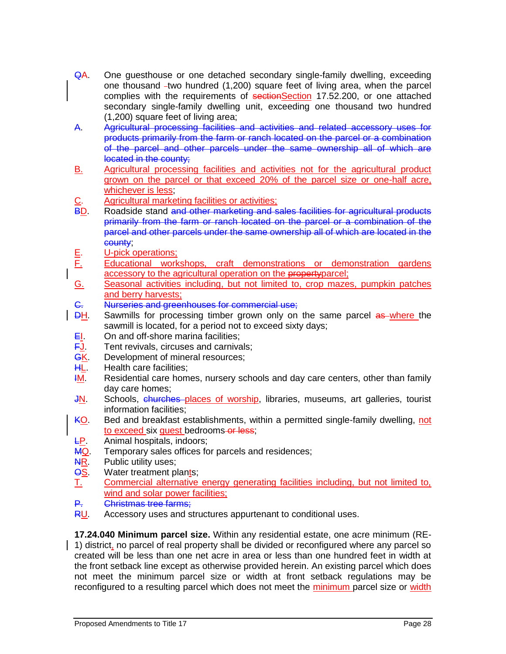- QA. One guesthouse or one detached secondary single-family dwelling, exceeding one thousand  $-two$  hundred  $(1,200)$  square feet of living area, when the parcel complies with the requirements of sectionSection 17.52.200, or one attached secondary single-family dwelling unit, exceeding one thousand two hundred (1,200) square feet of living area;
- A. Agricultural processing facilities and activities and related accessory uses for products primarily from the farm or ranch located on the parcel or a combination of the parcel and other parcels under the same ownership all of which are located in the county;
- B. Agricultural processing facilities and activities not for the agricultural product grown on the parcel or that exceed 20% of the parcel size or one-half acre, whichever is less;
- C. Agricultural marketing facilities or activities;<br>BD. Roadside stand and other marketing and s
- Roadside stand and other marketing and sales facilities for agricultural products primarily from the farm or ranch located on the parcel or a combination of the parcel and other parcels under the same ownership all of which are located in the county;
- E. U-pick operations;
- F. Educational workshops, craft demonstrations or demonstration gardens accessory to the agricultural operation on the property parcel:
- G. Seasonal activities including, but not limited to, crop mazes, pumpkin patches and berry harvests;
- G. Nurseries and greenhouses for commercial use;<br>
DH. Sawmills for processing timber grown only on
- Sawmills for processing timber grown only on the same parcel as where the sawmill is located, for a period not to exceed sixty days;
- EI. On and off-shore marina facilities;
- **FJ.** Tent revivals, circuses and carnivals:
- **GK.** Development of mineral resources;
- **HL.** Health care facilities;
- **IM.** Residential care homes, nursery schools and day care centers, other than family day care homes;
- JN. Schools, churches places of worship, libraries, museums, art galleries, tourist information facilities;
- KO. Bed and breakfast establishments, within a permitted single-family dwelling, not to exceed six quest bedrooms or less;
- LP. Animal hospitals, indoors;
- MQ. Temporary sales offices for parcels and residences;
- **NR.** Public utility uses;
- **OS.** Water treatment plants;
- T. Commercial alternative energy generating facilities including, but not limited to, wind and solar power facilities:
- P. Christmas tree farms;
- RU. Accessory uses and structures appurtenant to conditional uses.

**17.24.040 Minimum parcel size.** Within any residential estate, one acre minimum (RE-1) district, no parcel of real property shall be divided or reconfigured where any parcel so created will be less than one net acre in area or less than one hundred feet in width at the front setback line except as otherwise provided herein. An existing parcel which does not meet the minimum parcel size or width at front setback regulations may be reconfigured to a resulting parcel which does not meet the minimum parcel size or width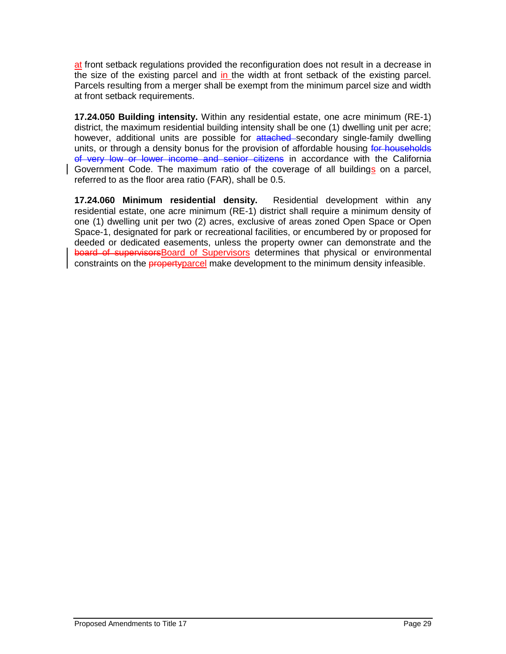at front setback regulations provided the reconfiguration does not result in a decrease in the size of the existing parcel and in the width at front setback of the existing parcel. Parcels resulting from a merger shall be exempt from the minimum parcel size and width at front setback requirements.

**17.24.050 Building intensity.** Within any residential estate, one acre minimum (RE-1) district, the maximum residential building intensity shall be one (1) dwelling unit per acre; however, additional units are possible for attached secondary single-family dwelling units, or through a density bonus for the provision of affordable housing for households of very low or lower income and senior citizens in accordance with the California Government Code. The maximum ratio of the coverage of all buildings on a parcel, referred to as the floor area ratio (FAR), shall be 0.5.

**17.24.060 Minimum residential density.** Residential development within any residential estate, one acre minimum (RE-1) district shall require a minimum density of one (1) dwelling unit per two (2) acres, exclusive of areas zoned Open Space or Open Space-1, designated for park or recreational facilities, or encumbered by or proposed for deeded or dedicated easements, unless the property owner can demonstrate and the board of supervisors Board of Supervisors determines that physical or environmental constraints on the propertyparcel make development to the minimum density infeasible.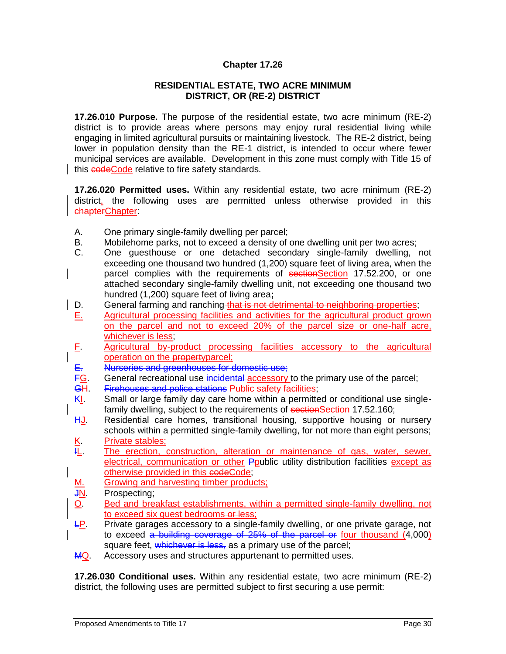#### **RESIDENTIAL ESTATE, TWO ACRE MINIMUM DISTRICT, OR (RE-2) DISTRICT**

**17.26.010 Purpose.** The purpose of the residential estate, two acre minimum (RE-2) district is to provide areas where persons may enjoy rural residential living while engaging in limited agricultural pursuits or maintaining livestock. The RE-2 district, being lower in population density than the RE-1 district, is intended to occur where fewer municipal services are available. Development in this zone must comply with Title 15 of this **codeCode** relative to fire safety standards.

**17.26.020 Permitted uses.** Within any residential estate, two acre minimum (RE-2) district, the following uses are permitted unless otherwise provided in this chapterChapter:

- A. One primary single-family dwelling per parcel;
- B. Mobilehome parks, not to exceed a density of one dwelling unit per two acres;
- C. One guesthouse or one detached secondary single-family dwelling, not exceeding one thousand two hundred (1,200) square feet of living area, when the parcel complies with the requirements of sectionSection 17.52.200, or one attached secondary single-family dwelling unit, not exceeding one thousand two hundred (1,200) square feet of living area**;**
- D. General farming and ranching that is not detrimental to neighboring properties;
- E. Agricultural processing facilities and activities for the agricultural product grown on the parcel and not to exceed 20% of the parcel size or one-half acre, whichever is less;
- F. Agricultural by-product processing facilities accessory to the agricultural operation on the propertyparcel;
- E. Nurseries and greenhouses for domestic use;
- FG. General recreational use incidental accessory to the primary use of the parcel;
- GH. Firehouses and police stations Public safety facilities;
- KI. Small or large family day care home within a permitted or conditional use singlefamily dwelling, subject to the requirements of sectionSection 17.52.160;
- HJ. Residential care homes, transitional housing, supportive housing or nursery schools within a permitted single-family dwelling, for not more than eight persons; K. Private stables;
- IL. The erection, construction, alteration or maintenance of gas, water, sewer, electrical, communication or other Ppublic utility distribution facilities except as otherwise provided in this codeCode;
- M. Growing and harvesting timber products;

JN. Prospecting;

- O. Bed and breakfast establishments, within a permitted single-family dwelling, not to exceed six quest bedrooms-or less;
- $E$ . Private garages accessory to a single-family dwelling, or one private garage, not to exceed a building coverage of 25% of the parcel or four thousand (4,000) square feet, whichever is less, as a primary use of the parcel;
- MQ. Accessory uses and structures appurtenant to permitted uses.

**17.26.030 Conditional uses.** Within any residential estate, two acre minimum (RE-2) district, the following uses are permitted subject to first securing a use permit: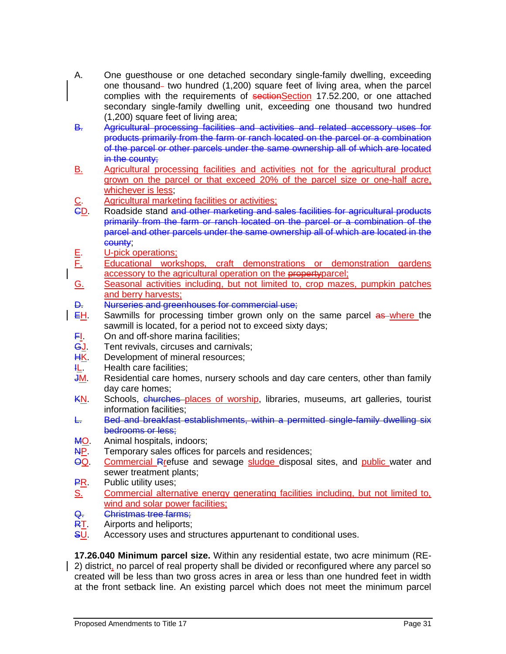- A. One guesthouse or one detached secondary single-family dwelling, exceeding one thousand two hundred  $(1,200)$  square feet of living area, when the parcel complies with the requirements of sectionSection 17.52.200, or one attached secondary single-family dwelling unit, exceeding one thousand two hundred (1,200) square feet of living area;
- B. Agricultural processing facilities and activities and related accessory uses for products primarily from the farm or ranch located on the parcel or a combination of the parcel or other parcels under the same ownership all of which are located in the county;
- B. Agricultural processing facilities and activities not for the agricultural product grown on the parcel or that exceed 20% of the parcel size or one-half acre, whichever is less;
- C. Agricultural marketing facilities or activities;<br>CD. Roadside stand and other marketing and s
- Roadside stand and other marketing and sales facilities for agricultural products primarily from the farm or ranch located on the parcel or a combination of the parcel and other parcels under the same ownership all of which are located in the county;
- E. U-pick operations;
- F. Educational workshops, craft demonstrations or demonstration gardens accessory to the agricultural operation on the property parcel:
- G. Seasonal activities including, but not limited to, crop mazes, pumpkin patches and berry harvests;
- **D.** Nurseries and greenhouses for commercial use;<br>EH. Sawmills for processing timber grown only on
- Sawmills for processing timber grown only on the same parcel as where the sawmill is located, for a period not to exceed sixty days;
- $F<sub>l</sub>$  On and off-shore marina facilities;
- **GJ.** Tent revivals, circuses and carnivals:
- **HK.** Development of mineral resources;
- **IL.** Health care facilities;
- JM. Residential care homes, nursery schools and day care centers, other than family day care homes;
- KN. Schools, churches places of worship, libraries, museums, art galleries, tourist information facilities;
- L. Bed and breakfast establishments, within a permitted single-family dwelling six bedrooms or less;
- MO. Animal hospitals, indoors;
- **AP.** Temporary sales offices for parcels and residences;
- OQ. Commercial Rrefuse and sewage sludge disposal sites, and public water and sewer treatment plants;
- **PR.** Public utility uses:
- S. Commercial alternative energy generating facilities including, but not limited to, wind and solar power facilities:
- Q. Christmas tree farms;
- **RT.** Airports and heliports;
- SU. Accessory uses and structures appurtenant to conditional uses.

**17.26.040 Minimum parcel size.** Within any residential estate, two acre minimum (RE-2) district, no parcel of real property shall be divided or reconfigured where any parcel so created will be less than two gross acres in area or less than one hundred feet in width at the front setback line. An existing parcel which does not meet the minimum parcel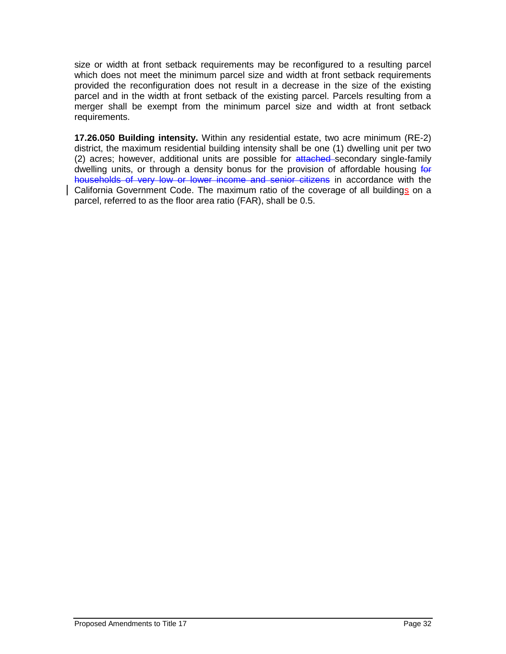size or width at front setback requirements may be reconfigured to a resulting parcel which does not meet the minimum parcel size and width at front setback requirements provided the reconfiguration does not result in a decrease in the size of the existing parcel and in the width at front setback of the existing parcel. Parcels resulting from a merger shall be exempt from the minimum parcel size and width at front setback requirements.

**17.26.050 Building intensity.** Within any residential estate, two acre minimum (RE-2) district, the maximum residential building intensity shall be one (1) dwelling unit per two (2) acres; however, additional units are possible for attached secondary single-family dwelling units, or through a density bonus for the provision of affordable housing for households of very low or lower income and senior citizens in accordance with the California Government Code. The maximum ratio of the coverage of all buildings on a parcel, referred to as the floor area ratio (FAR), shall be 0.5.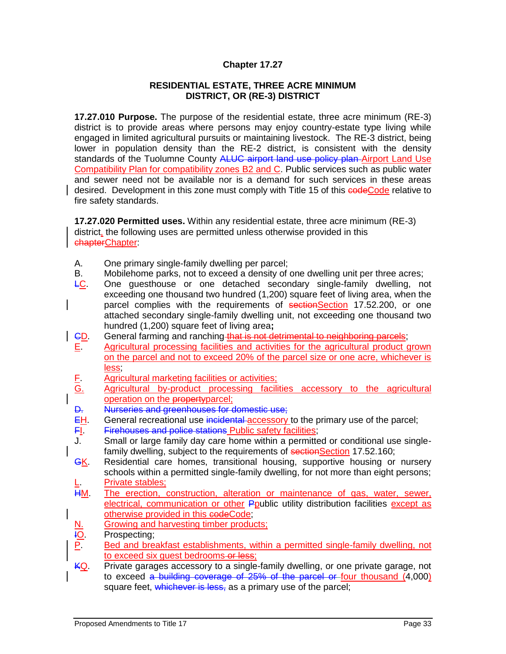#### **RESIDENTIAL ESTATE, THREE ACRE MINIMUM DISTRICT, OR (RE-3) DISTRICT**

**17.27.010 Purpose.** The purpose of the residential estate, three acre minimum (RE-3) district is to provide areas where persons may enjoy country-estate type living while engaged in limited agricultural pursuits or maintaining livestock. The RE-3 district, being lower in population density than the RE-2 district, is consistent with the density standards of the Tuolumne County ALUC airport land use policy plan Airport Land Use Compatibility Plan for compatibility zones B2 and C. Public services such as public water and sewer need not be available nor is a demand for such services in these areas desired. Development in this zone must comply with Title 15 of this codeCode relative to fire safety standards.

**17.27.020 Permitted uses.** Within any residential estate, three acre minimum (RE-3) district, the following uses are permitted unless otherwise provided in this chapterChapter:

- A. One primary single-family dwelling per parcel;
- B. Mobilehome parks, not to exceed a density of one dwelling unit per three acres;
- LC. One guesthouse or one detached secondary single-family dwelling, not exceeding one thousand two hundred (1,200) square feet of living area, when the parcel complies with the requirements of sectionSection 17.52.200, or one attached secondary single-family dwelling unit, not exceeding one thousand two hundred (1,200) square feet of living area**;**
- CD. General farming and ranching that is not detrimental to neighboring parcels; E. Agricultural processing facilities and activities for the agricultural product grown on the parcel and not to exceed 20% of the parcel size or one acre, whichever is less;
- F. Agricultural marketing facilities or activities;
- G. Agricultural by-product processing facilities accessory to the agricultural operation on the propertyparcel;
- D. Nurseries and greenhouses for domestic use;
- EH. General recreational use incidental accessory to the primary use of the parcel;
- FI. Firehouses and police stations Public safety facilities;
- J. Small or large family day care home within a permitted or conditional use singlefamily dwelling, subject to the requirements of sectionSection 17.52.160;
- **GK.** Residential care homes, transitional housing, supportive housing or nursery schools within a permitted single-family dwelling, for not more than eight persons; <u>L. Private stables;</u><br>HM. The erection. o
- The erection, construction, alteration or maintenance of gas, water, sewer, electrical, communication or other Ppublic utility distribution facilities except as otherwise provided in this codeCode;
- N. Growing and harvesting timber products;
- **IO.** Prospecting;
- P. Bed and breakfast establishments, within a permitted single-family dwelling, not to exceed six guest bedrooms-or less:
- $KQ$ . Private garages accessory to a single-family dwelling, or one private garage, not to exceed a building coverage of 25% of the parcel or four thousand (4,000) square feet, whichever is less, as a primary use of the parcel;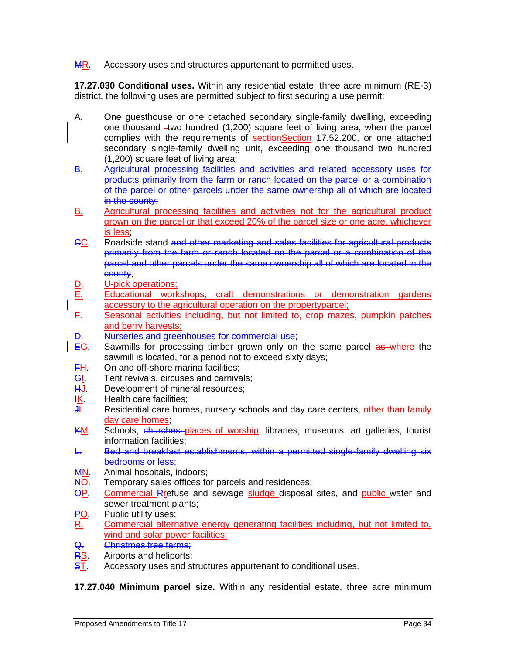MR. Accessory uses and structures appurtenant to permitted uses.

**17.27.030 Conditional uses.** Within any residential estate, three acre minimum (RE-3) district, the following uses are permitted subject to first securing a use permit:

- A. One guesthouse or one detached secondary single-family dwelling, exceeding one thousand -two hundred (1,200) square feet of living area, when the parcel complies with the requirements of sectionSection 17.52.200, or one attached secondary single-family dwelling unit, exceeding one thousand two hundred (1,200) square feet of living area;
- B. Agricultural processing facilities and activities and related accessory uses for products primarily from the farm or ranch located on the parcel or a combination of the parcel or other parcels under the same ownership all of which are located in the county;
- B. Agricultural processing facilities and activities not for the agricultural product grown on the parcel or that exceed 20% of the parcel size or one acre, whichever is less;
- CC. Roadside stand and other marketing and sales facilities for agricultural products primarily from the farm or ranch located on the parcel or a combination of the parcel and other parcels under the same ownership all of which are located in the county;
- D. U-pick operations;
- E. Educational workshops, craft demonstrations or demonstration gardens accessory to the agricultural operation on the property parcel;
- F. Seasonal activities including, but not limited to, crop mazes, pumpkin patches and berry harvests;
- D. Nurseries and greenhouses for commercial use;
- **EG.** Sawmills for processing timber grown only on the same parcel as where the sawmill is located, for a period not to exceed sixty days;
- **FH.** On and off-shore marina facilities;
- **GI.** Tent revivals, circuses and carnivals;
- HJ. Development of mineral resources;
- <del>I</del>K. Health care facilities;<br>JL. Residential care hom
- Residential care homes, nursery schools and day care centers, other than family day care homes;
- KM. Schools, churches places of worship, libraries, museums, art galleries, tourist information facilities;
- L. Bed and breakfast establishments, within a permitted single-family dwelling six bedrooms or less;
- **MN.** Animal hospitals, indoors;
- NO. Temporary sales offices for parcels and residences;
- OP. Commercial Rrefuse and sewage sludge disposal sites, and public water and sewer treatment plants;
- PQ. Public utility uses;
- R. Commercial alternative energy generating facilities including, but not limited to, wind and solar power facilities;
- Q. Christmas tree farms;
- RS. Airports and heliports;
- **ST.** Accessory uses and structures appurtenant to conditional uses.

**17.27.040 Minimum parcel size.** Within any residential estate, three acre minimum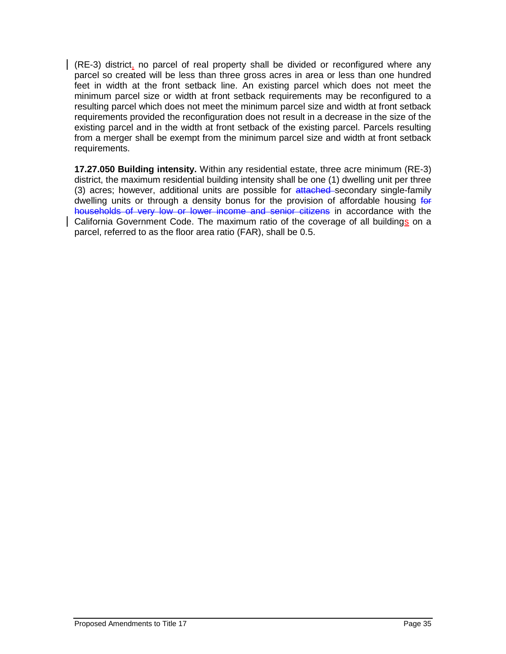(RE-3) district, no parcel of real property shall be divided or reconfigured where any parcel so created will be less than three gross acres in area or less than one hundred feet in width at the front setback line. An existing parcel which does not meet the minimum parcel size or width at front setback requirements may be reconfigured to a resulting parcel which does not meet the minimum parcel size and width at front setback requirements provided the reconfiguration does not result in a decrease in the size of the existing parcel and in the width at front setback of the existing parcel. Parcels resulting from a merger shall be exempt from the minimum parcel size and width at front setback requirements.

**17.27.050 Building intensity.** Within any residential estate, three acre minimum (RE-3) district, the maximum residential building intensity shall be one (1) dwelling unit per three (3) acres; however, additional units are possible for attached secondary single-family dwelling units or through a density bonus for the provision of affordable housing for households of very low or lower income and senior citizens in accordance with the California Government Code. The maximum ratio of the coverage of all buildings on a parcel, referred to as the floor area ratio (FAR), shall be 0.5.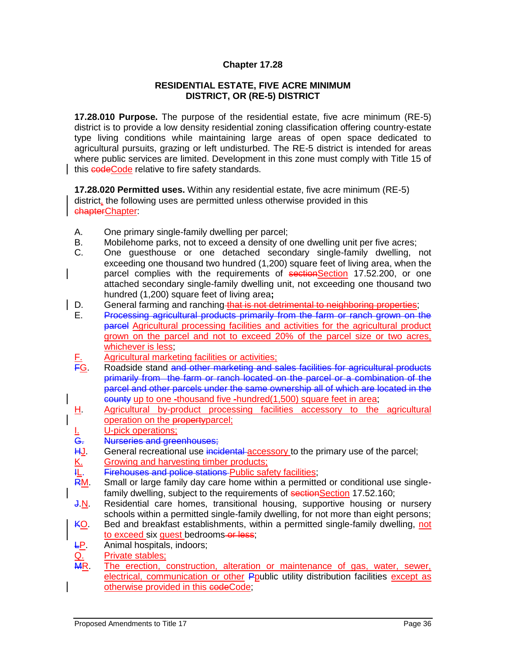#### **RESIDENTIAL ESTATE, FIVE ACRE MINIMUM DISTRICT, OR (RE-5) DISTRICT**

**17.28.010 Purpose.** The purpose of the residential estate, five acre minimum (RE-5) district is to provide a low density residential zoning classification offering country-estate type living conditions while maintaining large areas of open space dedicated to agricultural pursuits, grazing or left undisturbed. The RE-5 district is intended for areas where public services are limited. Development in this zone must comply with Title 15 of this **codeCode** relative to fire safety standards.

**17.28.020 Permitted uses.** Within any residential estate, five acre minimum (RE-5) district, the following uses are permitted unless otherwise provided in this chapterChapter:

- A. One primary single-family dwelling per parcel;
- B. Mobilehome parks, not to exceed a density of one dwelling unit per five acres;
- C. One guesthouse or one detached secondary single-family dwelling, not exceeding one thousand two hundred (1,200) square feet of living area, when the parcel complies with the requirements of sectionSection 17.52.200, or one attached secondary single-family dwelling unit, not exceeding one thousand two hundred (1,200) square feet of living area**;**
- D. General farming and ranching that is not detrimental to neighboring properties;
- E. Processing agricultural products primarily from the farm or ranch grown on the parcel Agricultural processing facilities and activities for the agricultural product grown on the parcel and not to exceed 20% of the parcel size or two acres, whichever is less;
- F. Agricultural marketing facilities or activities;<br>FG. Roadside stand and other marketing and s
- Roadside stand and other marketing and sales facilities for agricultural products primarily from the farm or ranch located on the parcel or a combination of the parcel and other parcels under the same ownership all of which are located in the county up to one -thousand five -hundred(1,500) square feet in area;
- H. Agricultural by-product processing facilities accessory to the agricultural operation on the propertyparcel;
- 
- Nurseries and greenhouses;
- <u>I.</u> U-pick operations;<br>
<del>G.</del> Nurseries and gree<br>
<u>H.J</u>. General recreation<br>
<u>K.</u> Growing and harve<br>
<del>IL</del>. Firehouses and po General recreational use incidental accessory to the primary use of the parcel;
- Growing and harvesting timber products;
- 
- IL. Firehouses and police stations Public safety facilities;<br>RM. Small or large family day care home within a permitte Small or large family day care home within a permitted or conditional use singlefamily dwelling, subject to the requirements of sectionSection 17.52.160;
- J.N. Residential care homes, transitional housing, supportive housing or nursery schools within a permitted single-family dwelling, for not more than eight persons;
- KO. Bed and breakfast establishments, within a permitted single-family dwelling, not to exceed six guest bedrooms or less;
- LP. Animal hospitals, indoors;
- Q. Private stables;<br>
MR. The erection. o
- The erection, construction, alteration or maintenance of gas, water, sewer, electrical, communication or other Ppublic utility distribution facilities except as otherwise provided in this codeCode;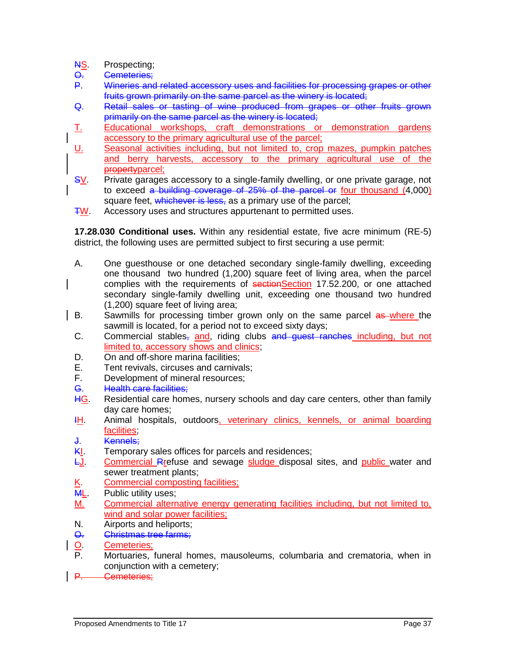- **NS.** Prospecting;
- O. Cemeteries;
- P. Wineries and related accessory uses and facilities for processing grapes or other fruits grown primarily on the same parcel as the winery is located;
- Q. Retail sales or tasting of wine produced from grapes or other fruits grown primarily on the same parcel as the winery is located;
- T. Educational workshops, craft demonstrations or demonstration gardens accessory to the primary agricultural use of the parcel;
- U. Seasonal activities including, but not limited to, crop mazes, pumpkin patches and berry harvests, accessory to the primary agricultural use of the propertyparcel;
- SV. Private garages accessory to a single-family dwelling, or one private garage, not to exceed a building coverage of 25% of the parcel or four thousand (4,000) square feet, whichever is less, as a primary use of the parcel;
- TW. Accessory uses and structures appurtenant to permitted uses.

**17.28.030 Conditional uses.** Within any residential estate, five acre minimum (RE-5) district, the following uses are permitted subject to first securing a use permit:

- A. One guesthouse or one detached secondary single-family dwelling, exceeding one thousand two hundred (1,200) square feet of living area, when the parcel complies with the requirements of sectionSection 17.52.200, or one attached secondary single-family dwelling unit, exceeding one thousand two hundred (1,200) square feet of living area;
- B. Sawmills for processing timber grown only on the same parcel as where the sawmill is located, for a period not to exceed sixty days;
- C. Commercial stables, and, riding clubs and guest ranches including, but not limited to, accessory shows and clinics;
- D. On and off-shore marina facilities:
- E. Tent revivals, circuses and carnivals;
- F. Development of mineral resources;
- G. Health care facilities;
- HG. Residential care homes, nursery schools and day care centers, other than family day care homes;
- IH. Animal hospitals, outdoors, veterinary clinics, kennels, or animal boarding facilities;
- J. Kennels;
- **KI.** Temporary sales offices for parcels and residences;
- LJ. Commercial Rrefuse and sewage sludge disposal sites, and public water and sewer treatment plants;
- K. Commercial composting facilities;<br>
ML. Public utility uses:
- Public utility uses:
- M. Commercial alternative energy generating facilities including, but not limited to, wind and solar power facilities;
- N. Airports and heliports;
- O. Christmas tree farms;
- O. Cemeteries;<br>P. Mortuaries
- Mortuaries, funeral homes, mausoleums, columbaria and crematoria, when in conjunction with a cemetery;
- P. Cemeteries;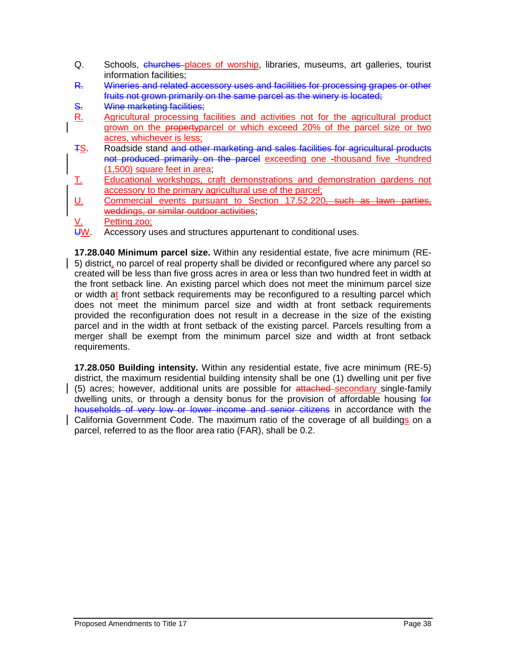- Q. Schools, churches places of worship, libraries, museums, art galleries, tourist information facilities;
- R. Wineries and related accessory uses and facilities for processing grapes or other fruits not grown primarily on the same parcel as the winery is located;
- S. Wine marketing facilities:
- R. Agricultural processing facilities and activities not for the agricultural product grown on the propertyparcel or which exceed 20% of the parcel size or two acres, whichever is less;
- TS. Roadside stand and other marketing and sales facilities for agricultural products not produced primarily on the parcel exceeding one -thousand five -hundred (1,500) square feet in area;
- T. Educational workshops, craft demonstrations and demonstration gardens not accessory to the primary agricultural use of the parcel;
- U. Commercial events pursuant to Section 17.52.220, such as lawn parties, weddings, or similar outdoor activities;
- Petting zoo;
- UW. Accessory uses and structures appurtenant to conditional uses.

**17.28.040 Minimum parcel size.** Within any residential estate, five acre minimum (RE-5) district, no parcel of real property shall be divided or reconfigured where any parcel so created will be less than five gross acres in area or less than two hundred feet in width at the front setback line. An existing parcel which does not meet the minimum parcel size or width at front setback requirements may be reconfigured to a resulting parcel which does not meet the minimum parcel size and width at front setback requirements provided the reconfiguration does not result in a decrease in the size of the existing parcel and in the width at front setback of the existing parcel. Parcels resulting from a merger shall be exempt from the minimum parcel size and width at front setback requirements.

**17.28.050 Building intensity.** Within any residential estate, five acre minimum (RE-5) district, the maximum residential building intensity shall be one (1) dwelling unit per five (5) acres; however, additional units are possible for attached secondary single-family dwelling units, or through a density bonus for the provision of affordable housing for households of very low or lower income and senior citizens in accordance with the California Government Code. The maximum ratio of the coverage of all buildings on a parcel, referred to as the floor area ratio (FAR), shall be 0.2.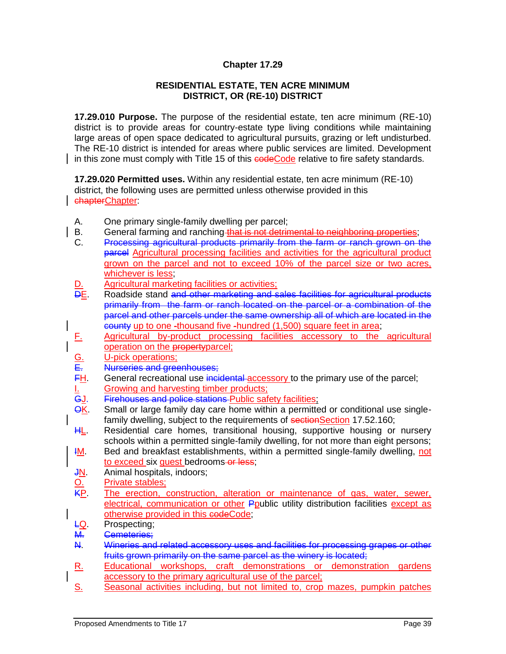#### **RESIDENTIAL ESTATE, TEN ACRE MINIMUM DISTRICT, OR (RE-10) DISTRICT**

**17.29.010 Purpose.** The purpose of the residential estate, ten acre minimum (RE-10) district is to provide areas for country-estate type living conditions while maintaining large areas of open space dedicated to agricultural pursuits, grazing or left undisturbed. The RE-10 district is intended for areas where public services are limited. Development in this zone must comply with Title 15 of this **codeCode** relative to fire safety standards.

**17.29.020 Permitted uses.** Within any residential estate, ten acre minimum (RE-10) district, the following uses are permitted unless otherwise provided in this chapterChapter:

- A. One primary single-family dwelling per parcel;
- B. General farming and ranching that is not detrimental to neighboring properties;
- C. Processing agricultural products primarily from the farm or ranch grown on the parcel Agricultural processing facilities and activities for the agricultural product grown on the parcel and not to exceed 10% of the parcel size or two acres, whichever is less
- D. Agricultural marketing facilities or activities;
- DE. Roadside stand and other marketing and sales facilities for agricultural products primarily from the farm or ranch located on the parcel or a combination of the parcel and other parcels under the same ownership all of which are located in the county up to one -thousand five -hundred (1,500) square feet in area;
- F. Agricultural by-product processing facilities accessory to the agricultural operation on the propertyparcel;
- G. U-pick operations;<br>E. Nurseries and gree
- E. Nurseries and greenhouses;<br>FH. General recreational use inci-
- FH. General recreational use incidental accessory to the primary use of the parcel;<br>
<u>I.</u> Growing and harvesting timber products;<br>
GJ. Firehouses and police stations Public safety facilities; Growing and harvesting timber products;
- GJ. Firehouses and police stations Public safety facilities;<br>QK. Small or large family day care home within a permitte
- Small or large family day care home within a permitted or conditional use singlefamily dwelling, subject to the requirements of sectionSection 17.52.160;
- HL. Residential care homes, transitional housing, supportive housing or nursery schools within a permitted single-family dwelling, for not more than eight persons;
- **IM.** Bed and breakfast establishments, within a permitted single-family dwelling, not to exceed six quest bedrooms-or less;
- J<u>N</u>. Animal hospitals, indoors;<br>
<u>O.</u> Private stables;<br>
<u>KP</u>. The erection, constructio
- Private stables:
- The erection, construction, alteration or maintenance of gas, water, sewer, electrical, communication or other Ppublic utility distribution facilities except as otherwise provided in this codeCode;
- LQ. Prospecting;
- M. Cemeteries;
- N. Wineries and related accessory uses and facilities for processing grapes or other fruits grown primarily on the same parcel as the winery is located;
- R. Educational workshops, craft demonstrations or demonstration gardens accessory to the primary agricultural use of the parcel;
- S. Seasonal activities including, but not limited to, crop mazes, pumpkin patches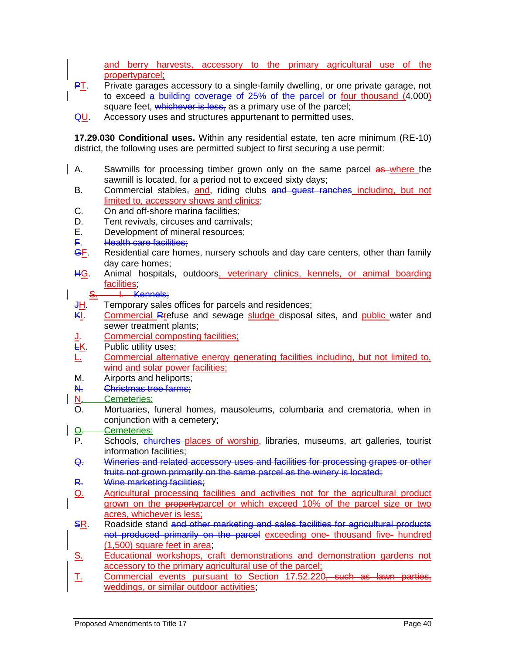and berry harvests, accessory to the primary agricultural use of the propertyparcel;

- **PT.** Private garages accessory to a single-family dwelling, or one private garage, not to exceed a building coverage of 25% of the parcel or four thousand (4,000) square feet, whichever is less, as a primary use of the parcel;
- QU. Accessory uses and structures appurtenant to permitted uses.

**17.29.030 Conditional uses.** Within any residential estate, ten acre minimum (RE-10) district, the following uses are permitted subject to first securing a use permit:

- A. Sawmills for processing timber grown only on the same parcel as where the sawmill is located, for a period not to exceed sixty days;
- B. Commercial stables, and, riding clubs and guest ranches including, but not limited to, accessory shows and clinics;
- C. On and off-shore marina facilities;
- D. Tent revivals, circuses and carnivals;
- E. Development of mineral resources;
- F. Health care facilities:
- GF. Residential care homes, nursery schools and day care centers, other than family day care homes;
- HG. Animal hospitals, outdoors, veterinary clinics, kennels, or animal boarding facilities;

S. H. Kennels;

- JH. Temporary sales offices for parcels and residences;
- KI. Commercial Rrefuse and sewage sludge disposal sites, and public water and sewer treatment plants;
- J. Commercial composting facilities;<br>EK. Public utility uses;
- Public utility uses:
- L. Commercial alternative energy generating facilities including, but not limited to, wind and solar power facilities;
- M. Airports and heliports;
- N. Christmas tree farms;
- N. Cemeteries:
- O. Mortuaries, funeral homes, mausoleums, columbaria and crematoria, when in conjunction with a cemetery;

# **Q.** Cemeteries;

- P. Schools, churches places of worship, libraries, museums, art galleries, tourist information facilities;
- Q. Wineries and related accessory uses and facilities for processing grapes or other fruits not grown primarily on the same parcel as the winery is located;
- R. Wine marketing facilities;
- Q. Agricultural processing facilities and activities not for the agricultural product grown on the propertyparcel or which exceed 10% of the parcel size or two acres, whichever is less;
- SR. Roadside stand and other marketing and sales facilities for agricultural products not produced primarily on the parcel exceeding one- thousand five- hundred (1,500) square feet in area;
- S. Educational workshops, craft demonstrations and demonstration gardens not accessory to the primary agricultural use of the parcel;
- T. Commercial events pursuant to Section 17.52.220, such as lawn parties, weddings, or similar outdoor activities;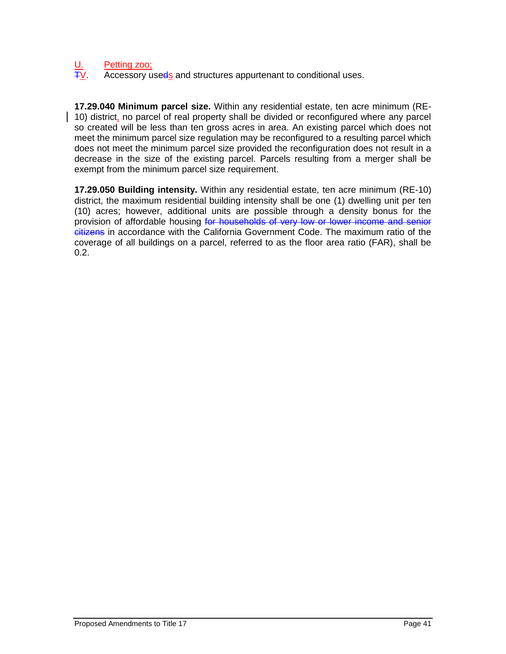# U. Petting zoo;<br>TV Accessory u

Accessory useds and structures appurtenant to conditional uses.

**17.29.040 Minimum parcel size.** Within any residential estate, ten acre minimum (RE-10) district, no parcel of real property shall be divided or reconfigured where any parcel so created will be less than ten gross acres in area. An existing parcel which does not meet the minimum parcel size regulation may be reconfigured to a resulting parcel which does not meet the minimum parcel size provided the reconfiguration does not result in a decrease in the size of the existing parcel. Parcels resulting from a merger shall be exempt from the minimum parcel size requirement.

**17.29.050 Building intensity.** Within any residential estate, ten acre minimum (RE-10) district, the maximum residential building intensity shall be one (1) dwelling unit per ten (10) acres; however, additional units are possible through a density bonus for the provision of affordable housing for households of very low or lower income and senior citizens in accordance with the California Government Code. The maximum ratio of the coverage of all buildings on a parcel, referred to as the floor area ratio (FAR), shall be 0.2.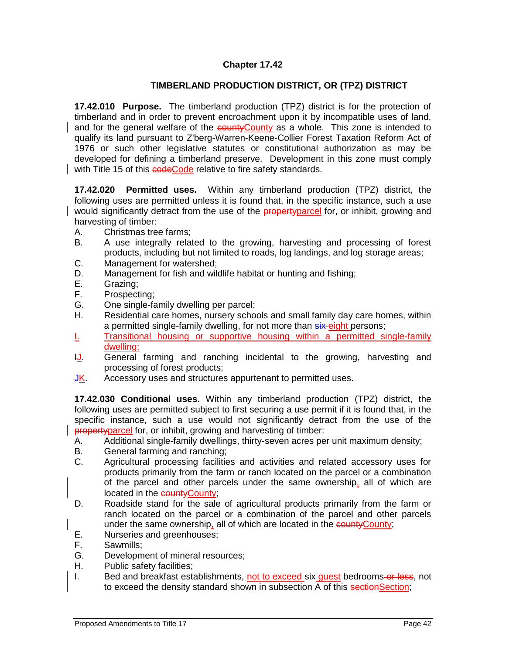# **TIMBERLAND PRODUCTION DISTRICT, OR (TPZ) DISTRICT**

**17.42.010 Purpose.** The timberland production (TPZ) district is for the protection of timberland and in order to prevent encroachment upon it by incompatible uses of land, and for the general welfare of the countyCounty as a whole. This zone is intended to qualify its land pursuant to Z'berg-Warren-Keene-Collier Forest Taxation Reform Act of 1976 or such other legislative statutes or constitutional authorization as may be developed for defining a timberland preserve. Development in this zone must comply with Title 15 of this codeCode relative to fire safety standards.

**17.42.020 Permitted uses.** Within any timberland production (TPZ) district, the following uses are permitted unless it is found that, in the specific instance, such a use would significantly detract from the use of the **property** parcel for, or inhibit, growing and harvesting of timber:

- A. Christmas tree farms;
- B. A use integrally related to the growing, harvesting and processing of forest products, including but not limited to roads, log landings, and log storage areas;
- C. Management for watershed;
- D. Management for fish and wildlife habitat or hunting and fishing;
- E. Grazing;
- F. Prospecting;
- G. One single-family dwelling per parcel;
- H. Residential care homes, nursery schools and small family day care homes, within a permitted single-family dwelling, for not more than six-eight persons;
- I. Transitional housing or supportive housing within a permitted single-family dwelling;
- IJ. General farming and ranching incidental to the growing, harvesting and processing of forest products;
- **JK.** Accessory uses and structures appurtenant to permitted uses.

**17.42.030 Conditional uses.** Within any timberland production (TPZ) district, the following uses are permitted subject to first securing a use permit if it is found that, in the specific instance, such a use would not significantly detract from the use of the propertyparcel for, or inhibit, growing and harvesting of timber:

- A. Additional single-family dwellings, thirty-seven acres per unit maximum density;
- B. General farming and ranching;
- C. Agricultural processing facilities and activities and related accessory uses for products primarily from the farm or ranch located on the parcel or a combination of the parcel and other parcels under the same ownership, all of which are located in the countyCounty;
- D. Roadside stand for the sale of agricultural products primarily from the farm or ranch located on the parcel or a combination of the parcel and other parcels under the same ownership, all of which are located in the countycounty;
- E. Nurseries and greenhouses;
- F. Sawmills;
- G. Development of mineral resources;
- H. Public safety facilities;
- I. Bed and breakfast establishments, not to exceed six guest bedrooms or less, not to exceed the density standard shown in subsection A of this sectionSection;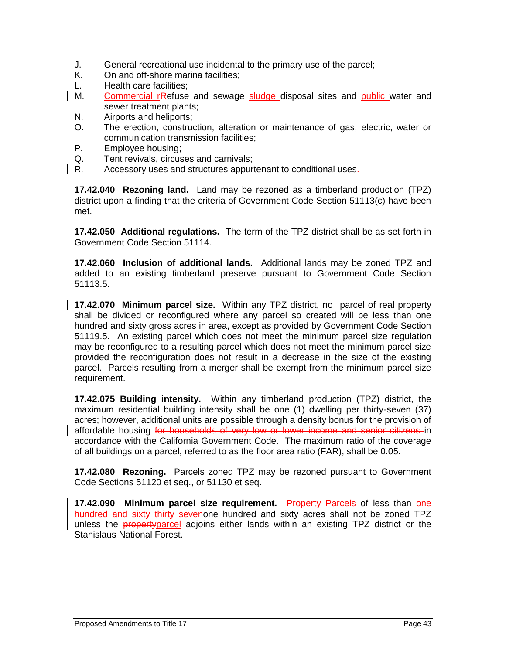- J. General recreational use incidental to the primary use of the parcel;
- K. On and off-shore marina facilities;
- L. Health care facilities;
- M. Commercial rRefuse and sewage sludge disposal sites and public water and sewer treatment plants;
	- N. Airports and heliports;
	- O. The erection, construction, alteration or maintenance of gas, electric, water or communication transmission facilities;
	- P. Employee housing;
- Q. Tent revivals, circuses and carnivals;<br>R. Accessory uses and structures appurt
- Accessory uses and structures appurtenant to conditional uses.

**17.42.040 Rezoning land.** Land may be rezoned as a timberland production (TPZ) district upon a finding that the criteria of Government Code Section 51113(c) have been met.

**17.42.050 Additional regulations.** The term of the TPZ district shall be as set forth in Government Code Section 51114.

**17.42.060 Inclusion of additional lands.** Additional lands may be zoned TPZ and added to an existing timberland preserve pursuant to Government Code Section 51113.5.

**17.42.070 Minimum parcel size.** Within any TPZ district, no- parcel of real property shall be divided or reconfigured where any parcel so created will be less than one hundred and sixty gross acres in area, except as provided by Government Code Section 51119.5. An existing parcel which does not meet the minimum parcel size regulation may be reconfigured to a resulting parcel which does not meet the minimum parcel size provided the reconfiguration does not result in a decrease in the size of the existing parcel. Parcels resulting from a merger shall be exempt from the minimum parcel size requirement.

**17.42.075 Building intensity.** Within any timberland production (TPZ) district, the maximum residential building intensity shall be one (1) dwelling per thirty-seven (37) acres; however, additional units are possible through a density bonus for the provision of affordable housing for households of very low or lower income and senior citizens in accordance with the California Government Code. The maximum ratio of the coverage of all buildings on a parcel, referred to as the floor area ratio (FAR), shall be 0.05.

**17.42.080 Rezoning.** Parcels zoned TPZ may be rezoned pursuant to Government Code Sections 51120 et seq., or 51130 et seq.

**17.42.090 Minimum parcel size requirement.** Property–Parcels of less than one hundred and sixty thirty sevenone hundred and sixty acres shall not be zoned TPZ unless the propertyparcel adjoins either lands within an existing TPZ district or the Stanislaus National Forest.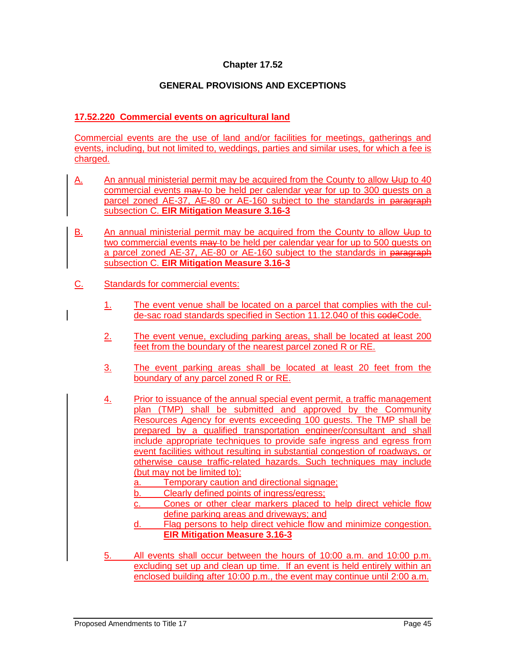# **GENERAL PROVISIONS AND EXCEPTIONS**

# **17.52.220 Commercial events on agricultural land**

Commercial events are the use of land and/or facilities for meetings, gatherings and events, including, but not limited to, weddings, parties and similar uses, for which a fee is charged.

- A. An annual ministerial permit may be acquired from the County to allow Uup to 40 commercial events may to be held per calendar year for up to 300 guests on a parcel zoned AE-37, AE-80 or AE-160 subject to the standards in paragraph subsection C. **EIR Mitigation Measure 3.16-3**
- B. An annual ministerial permit may be acquired from the County to allow Uup to two commercial events may to be held per calendar year for up to 500 quests on a parcel zoned AE-37, AE-80 or AE-160 subject to the standards in paragraph subsection C. **EIR Mitigation Measure 3.16-3**
- C. Standards for commercial events:
	- 1. The event venue shall be located on a parcel that complies with the culde-sac road standards specified in Section 11.12.040 of this codeCode.
	- 2. The event venue, excluding parking areas, shall be located at least 200 feet from the boundary of the nearest parcel zoned R or RE.
	- 3. The event parking areas shall be located at least 20 feet from the boundary of any parcel zoned R or RE.
	- 4. Prior to issuance of the annual special event permit, a traffic management plan (TMP) shall be submitted and approved by the Community Resources Agency for events exceeding 100 guests. The TMP shall be prepared by a qualified transportation engineer/consultant and shall include appropriate techniques to provide safe ingress and egress from event facilities without resulting in substantial congestion of roadways, or otherwise cause traffic-related hazards. Such techniques may include (but may not be limited to):
		- a. Temporary caution and directional signage;
		- b. Clearly defined points of ingress/egress;
		- c. Cones or other clear markers placed to help direct vehicle flow define parking areas and driveways; and
		- d. Flag persons to help direct vehicle flow and minimize congestion. **EIR Mitigation Measure 3.16-3**
	- 5. All events shall occur between the hours of 10:00 a.m. and 10:00 p.m. excluding set up and clean up time. If an event is held entirely within an enclosed building after 10:00 p.m., the event may continue until 2:00 a.m.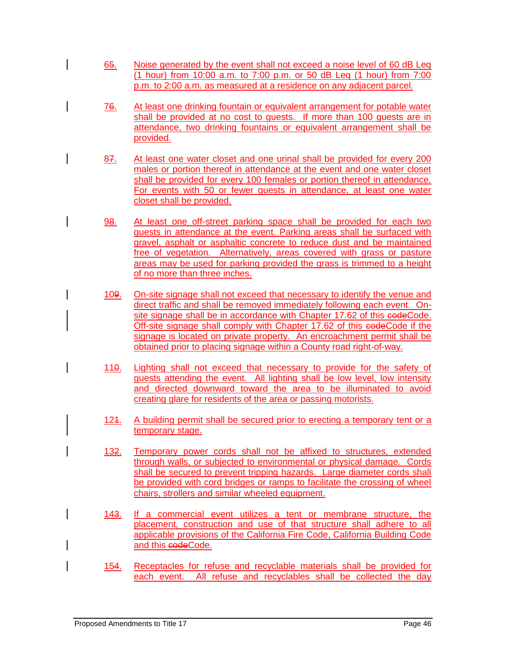- 65. Noise generated by the event shall not exceed a noise level of 60 dB Leq (1 hour) from 10:00 a.m. to 7:00 p.m. or 50 dB Leq (1 hour) from 7:00 p.m. to 2:00 a.m. as measured at a residence on any adjacent parcel.
- 76. At least one drinking fountain or equivalent arrangement for potable water shall be provided at no cost to guests. If more than 100 guests are in attendance, two drinking fountains or equivalent arrangement shall be provided.
- 87. At least one water closet and one urinal shall be provided for every 200 males or portion thereof in attendance at the event and one water closet shall be provided for every 100 females or portion thereof in attendance. For events with 50 or fewer guests in attendance, at least one water closet shall be provided.
- 98. At least one off-street parking space shall be provided for each two guests in attendance at the event. Parking areas shall be surfaced with gravel, asphalt or asphaltic concrete to reduce dust and be maintained free of vegetation. Alternatively, areas covered with grass or pasture areas may be used for parking provided the grass is trimmed to a height of no more than three inches.
- 109. On-site signage shall not exceed that necessary to identify the venue and direct traffic and shall be removed immediately following each event. Onsite signage shall be in accordance with Chapter 17.62 of this eodeCode. Off-site signage shall comply with Chapter 17.62 of this eedeCode if the signage is located on private property. An encroachment permit shall be obtained prior to placing signage within a County road right-of-way.
- 110. Lighting shall not exceed that necessary to provide for the safety of guests attending the event. All lighting shall be low level, low intensity and directed downward toward the area to be illuminated to avoid creating glare for residents of the area or passing motorists.
- 124. A building permit shall be secured prior to erecting a temporary tent or a temporary stage.
- 132. Temporary power cords shall not be affixed to structures, extended through walls, or subjected to environmental or physical damage. Cords shall be secured to prevent tripping hazards. Large diameter cords shall be provided with cord bridges or ramps to facilitate the crossing of wheel chairs, strollers and similar wheeled equipment.
- 143. If a commercial event utilizes a tent or membrane structure, the placement, construction and use of that structure shall adhere to all applicable provisions of the California Fire Code, California Building Code and this codeCode.
- 154. Receptacles for refuse and recyclable materials shall be provided for each event. All refuse and recyclables shall be collected the day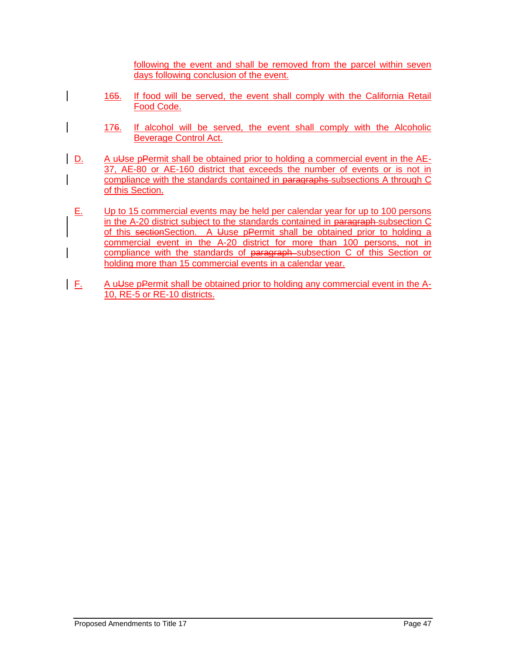following the event and shall be removed from the parcel within seven days following conclusion of the event.

- 165. If food will be served, the event shall comply with the California Retail Food Code.
	- 176. If alcohol will be served, the event shall comply with the Alcoholic Beverage Control Act.
- $\vert$  D. A uUse pPermit shall be obtained prior to holding a commercial event in the AE-37, AE-80 or AE-160 district that exceeds the number of events or is not in compliance with the standards contained in paragraphs subsections A through C of this Section.
- $E.$  Up to 15 commercial events may be held per calendar year for up to 100 persons in the A-20 district subject to the standards contained in paragraph subsection C of this sectionSection. A Uuse pPermit shall be obtained prior to holding a commercial event in the A-20 district for more than 100 persons, not in compliance with the standards of paragraph subsection C of this Section or holding more than 15 commercial events in a calendar year.
- $\mathsf{F}$ . A u<del>U</del>se pPermit shall be obtained prior to holding any commercial event in the A-10, RE-5 or RE-10 districts.